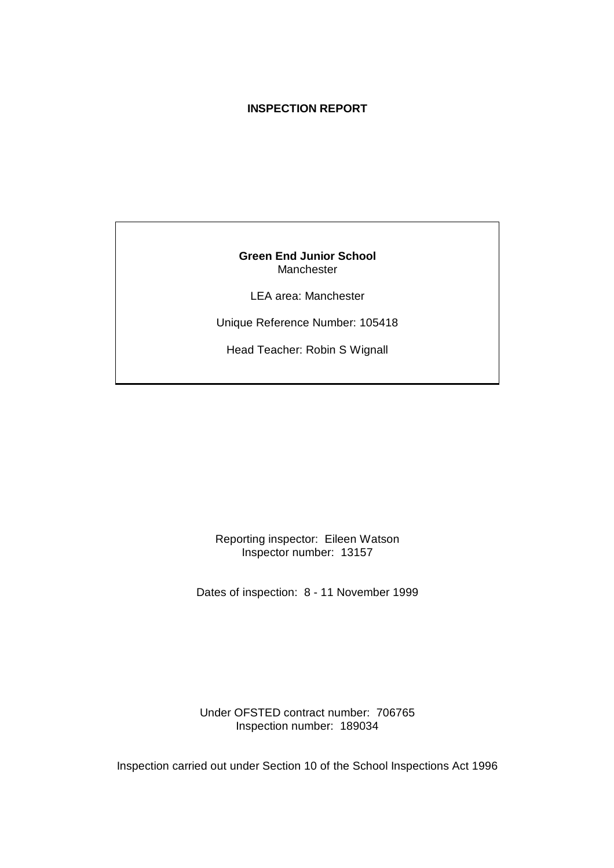## **INSPECTION REPORT**

**Green End Junior School** Manchester

LEA area: Manchester

Unique Reference Number: 105418

Head Teacher: Robin S Wignall

Reporting inspector: Eileen Watson Inspector number: 13157

Dates of inspection: 8 - 11 November 1999

Under OFSTED contract number: 706765 Inspection number: 189034

Inspection carried out under Section 10 of the School Inspections Act 1996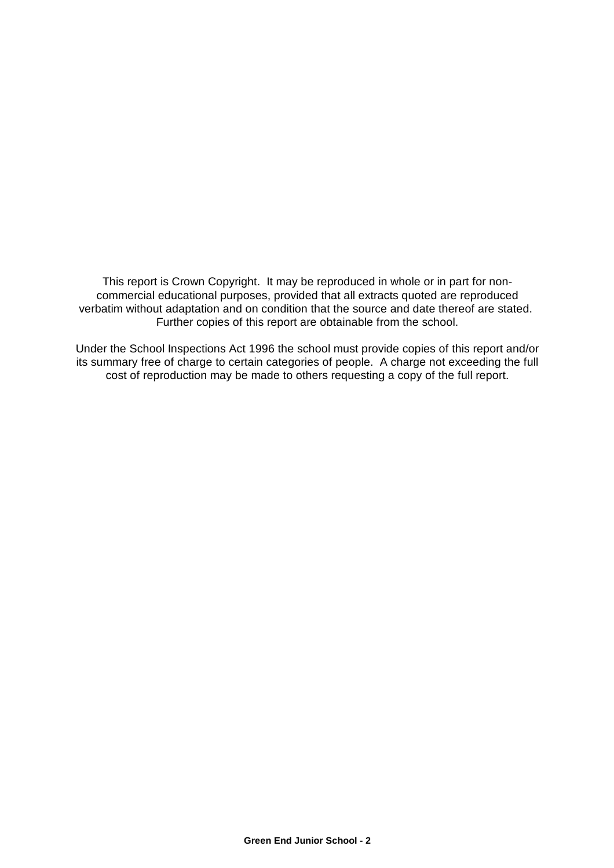This report is Crown Copyright. It may be reproduced in whole or in part for noncommercial educational purposes, provided that all extracts quoted are reproduced verbatim without adaptation and on condition that the source and date thereof are stated. Further copies of this report are obtainable from the school.

Under the School Inspections Act 1996 the school must provide copies of this report and/or its summary free of charge to certain categories of people. A charge not exceeding the full cost of reproduction may be made to others requesting a copy of the full report.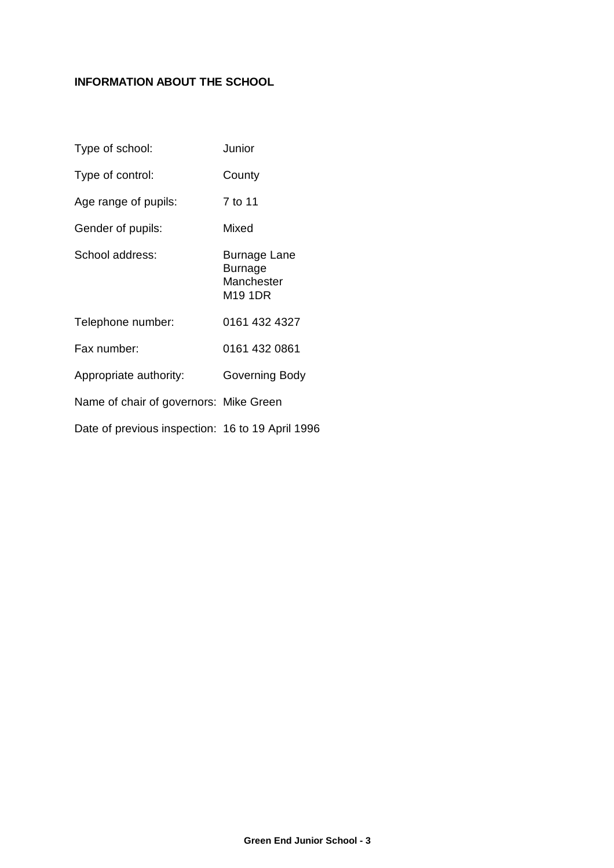## **INFORMATION ABOUT THE SCHOOL**

| Type of school:                                  | Junior                                                  |
|--------------------------------------------------|---------------------------------------------------------|
| Type of control:                                 | County                                                  |
| Age range of pupils:                             | 7 to 11                                                 |
| Gender of pupils:                                | Mixed                                                   |
| School address:                                  | <b>Burnage Lane</b><br>Burnage<br>Manchester<br>M19 1DR |
| Telephone number:                                | 0161 432 4327                                           |
| Fax number:                                      | 0161 432 0861                                           |
| Appropriate authority:                           | Governing Body                                          |
| Name of chair of governors: Mike Green           |                                                         |
| Date of previous inspection: 16 to 19 April 1996 |                                                         |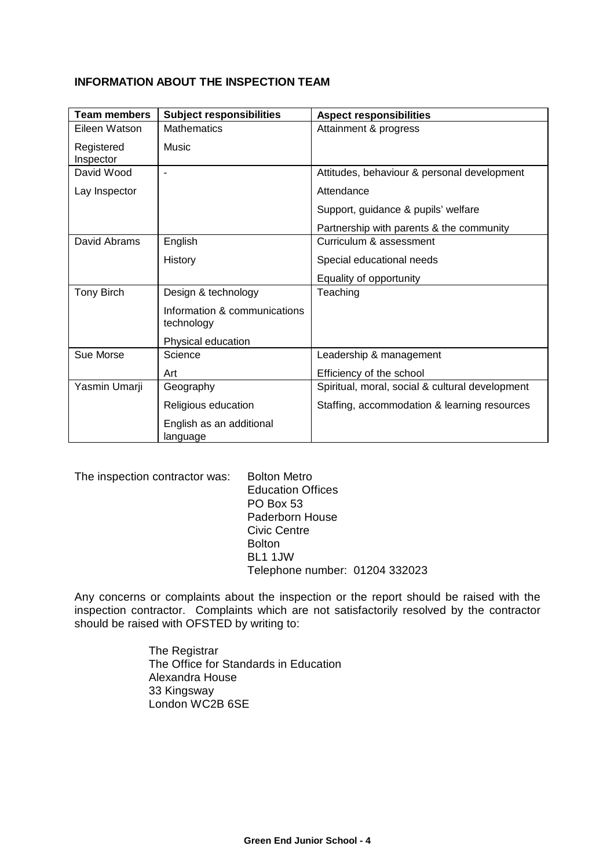## **INFORMATION ABOUT THE INSPECTION TEAM**

| <b>Team members</b>     | <b>Subject responsibilities</b>            | <b>Aspect responsibilities</b>                  |
|-------------------------|--------------------------------------------|-------------------------------------------------|
| Eileen Watson           | <b>Mathematics</b>                         | Attainment & progress                           |
| Registered<br>Inspector | Music                                      |                                                 |
| David Wood              |                                            | Attitudes, behaviour & personal development     |
| Lay Inspector           |                                            | Attendance                                      |
|                         |                                            | Support, guidance & pupils' welfare             |
|                         |                                            | Partnership with parents & the community        |
| David Abrams            | English                                    | Curriculum & assessment                         |
|                         | History                                    | Special educational needs                       |
|                         |                                            | Equality of opportunity                         |
| <b>Tony Birch</b>       | Design & technology                        | Teaching                                        |
|                         | Information & communications<br>technology |                                                 |
|                         | Physical education                         |                                                 |
| Sue Morse               | Science                                    | Leadership & management                         |
|                         | Art                                        | Efficiency of the school                        |
| Yasmin Umarji           | Geography                                  | Spiritual, moral, social & cultural development |
|                         | Religious education                        | Staffing, accommodation & learning resources    |
|                         | English as an additional<br>language       |                                                 |

The inspection contractor was: Bolton Metro

Education Offices PO Box 53 Paderborn House Civic Centre Bolton BL1 1JW Telephone number: 01204 332023

Any concerns or complaints about the inspection or the report should be raised with the inspection contractor. Complaints which are not satisfactorily resolved by the contractor should be raised with OFSTED by writing to:

> The Registrar The Office for Standards in Education Alexandra House 33 Kingsway London WC2B 6SE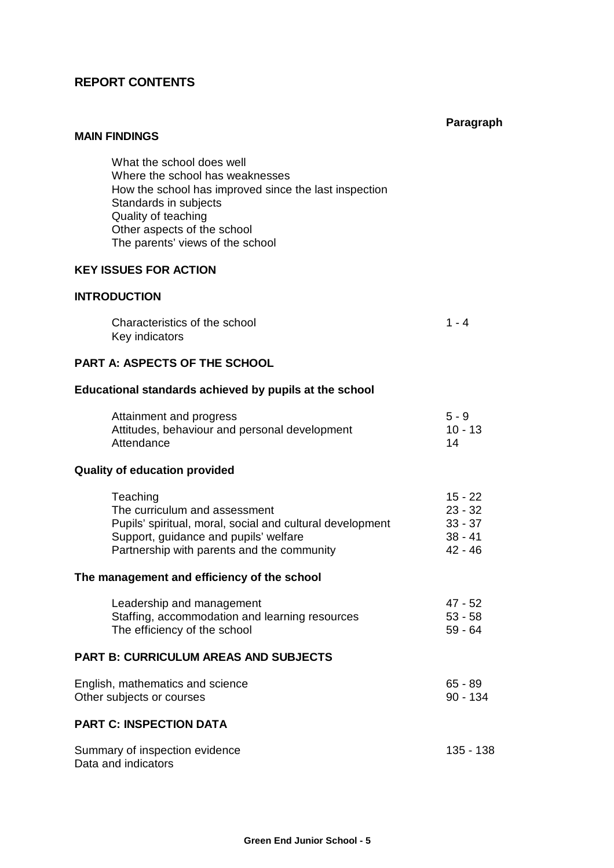## **REPORT CONTENTS**

#### **Paragraph**

#### **MAIN FINDINGS**

What the school does well Where the school has weaknesses How the school has improved since the last inspection Standards in subjects Quality of teaching Other aspects of the school The parents' views of the school

#### **KEY ISSUES FOR ACTION**

#### **INTRODUCTION**

| Characteristics of the school | $1 - 4$ |  |
|-------------------------------|---------|--|
| Key indicators                |         |  |

#### **PART A: ASPECTS OF THE SCHOOL**

#### **Educational standards achieved by pupils at the school**

| Attainment and progress                       | $5 - 9$   |
|-----------------------------------------------|-----------|
| Attitudes, behaviour and personal development | $10 - 13$ |
| Attendance                                    | 14        |

#### **Quality of education provided**

| Teaching                                                  | $15 - 22$ |
|-----------------------------------------------------------|-----------|
| The curriculum and assessment                             | $23 - 32$ |
| Pupils' spiritual, moral, social and cultural development | $33 - 37$ |
| Support, guidance and pupils' welfare                     | $38 - 41$ |
| Partnership with parents and the community                | $42 - 46$ |
|                                                           |           |

## **The management and efficiency of the school**

| Leadership and management                      | 47 - 52   |
|------------------------------------------------|-----------|
| Staffing, accommodation and learning resources | $53 - 58$ |
| The efficiency of the school                   | $59 - 64$ |

#### **PART B: CURRICULUM AREAS AND SUBJECTS**

| English, mathematics and science | 65 - 89  |
|----------------------------------|----------|
| Other subjects or courses        | 90 - 134 |

## **PART C: INSPECTION DATA**

| Summary of inspection evidence | 135 - 138 |  |
|--------------------------------|-----------|--|
| Data and indicators            |           |  |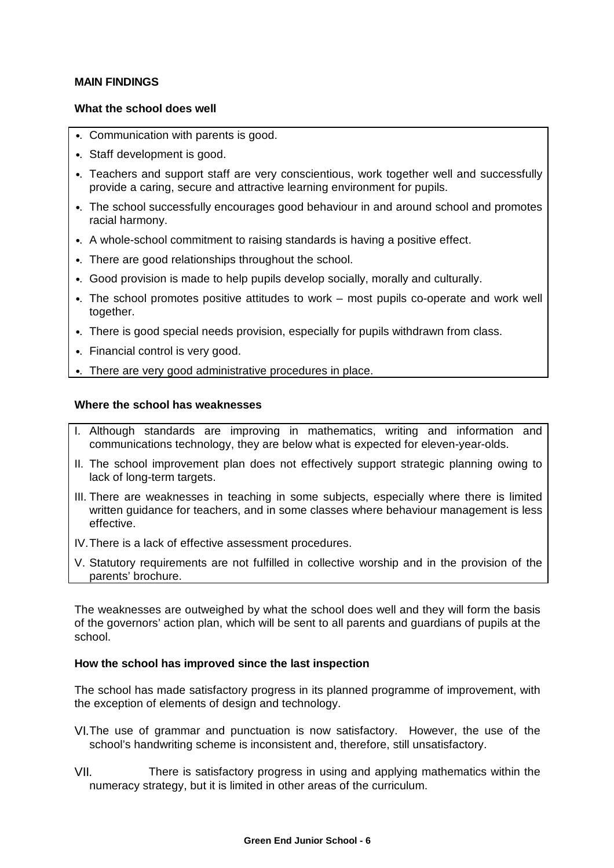#### **MAIN FINDINGS**

#### **What the school does well**

- •. Communication with parents is good.
- •. Staff development is good.
- •. Teachers and support staff are very conscientious, work together well and successfully provide a caring, secure and attractive learning environment for pupils.
- •. The school successfully encourages good behaviour in and around school and promotes racial harmony.
- •. A whole-school commitment to raising standards is having a positive effect.
- •. There are good relationships throughout the school.
- •. Good provision is made to help pupils develop socially, morally and culturally.
- •. The school promotes positive attitudes to work most pupils co-operate and work well together.
- •. There is good special needs provision, especially for pupils withdrawn from class.
- •. Financial control is very good.
- •. There are very good administrative procedures in place.

#### **Where the school has weaknesses**

- I. Although standards are improving in mathematics, writing and information and communications technology, they are below what is expected for eleven-year-olds.
- II. The school improvement plan does not effectively support strategic planning owing to lack of long-term targets.
- III. There are weaknesses in teaching in some subjects, especially where there is limited written guidance for teachers, and in some classes where behaviour management is less effective.
- IV.There is a lack of effective assessment procedures.
- V. Statutory requirements are not fulfilled in collective worship and in the provision of the parents' brochure.

The weaknesses are outweighed by what the school does well and they will form the basis of the governors' action plan, which will be sent to all parents and guardians of pupils at the school.

#### **How the school has improved since the last inspection**

The school has made satisfactory progress in its planned programme of improvement, with the exception of elements of design and technology.

- VI.The use of grammar and punctuation is now satisfactory. However, the use of the school's handwriting scheme is inconsistent and, therefore, still unsatisfactory.
- VII. There is satisfactory progress in using and applying mathematics within the numeracy strategy, but it is limited in other areas of the curriculum.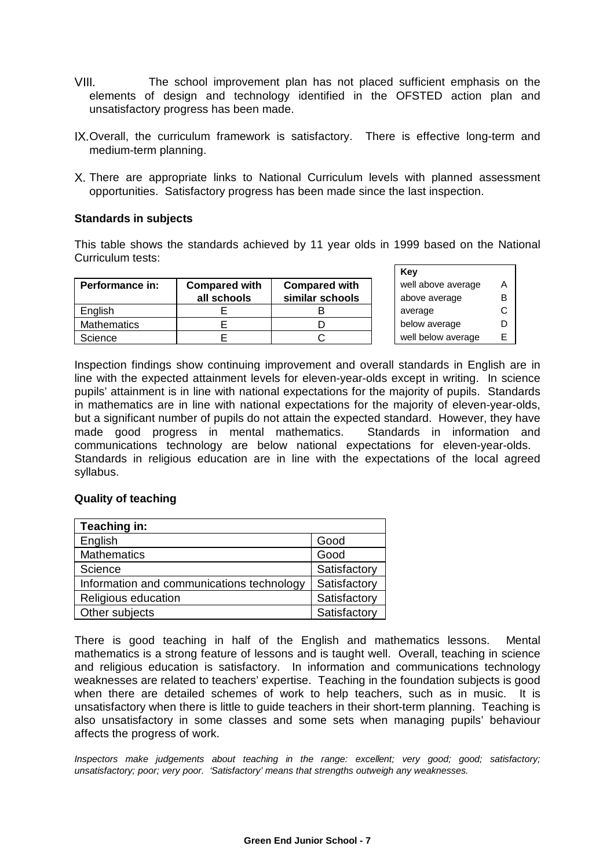- VIII. The school improvement plan has not placed sufficient emphasis on the elements of design and technology identified in the OFSTED action plan and unsatisfactory progress has been made.
- IX.Overall, the curriculum framework is satisfactory. There is effective long-term and medium-term planning.
- X. There are appropriate links to National Curriculum levels with planned assessment opportunities. Satisfactory progress has been made since the last inspection.

#### **Standards in subjects**

This table shows the standards achieved by 11 year olds in 1999 based on the National Curriculum tests:

|                 |                      |                      | .                  |   |
|-----------------|----------------------|----------------------|--------------------|---|
| Performance in: | <b>Compared with</b> | <b>Compared with</b> | well above average | A |
|                 | all schools          | similar schools      | above average      | в |
| English         |                      |                      | average            |   |
| Mathematics     |                      |                      | below average      | D |
| Science         |                      |                      | well below average | F |

**Key** well above average above average A B below average D well below average E

Inspection findings show continuing improvement and overall standards in English are in line with the expected attainment levels for eleven-year-olds except in writing. In science pupils' attainment is in line with national expectations for the majority of pupils. Standards in mathematics are in line with national expectations for the majority of eleven-year-olds, but a significant number of pupils do not attain the expected standard. However, they have made good progress in mental mathematics. Standards in information and communications technology are below national expectations for eleven-year-olds. Standards in religious education are in line with the expectations of the local agreed syllabus.

#### **Quality of teaching**

| Teaching in:                              |              |
|-------------------------------------------|--------------|
| English                                   | Good         |
| <b>Mathematics</b>                        | Good         |
| Science                                   | Satisfactory |
| Information and communications technology | Satisfactory |
| Religious education                       | Satisfactory |
| Other subjects                            | Satisfactory |

There is good teaching in half of the English and mathematics lessons. Mental mathematics is a strong feature of lessons and is taught well. Overall, teaching in science and religious education is satisfactory. In information and communications technology weaknesses are related to teachers' expertise. Teaching in the foundation subjects is good when there are detailed schemes of work to help teachers, such as in music. It is unsatisfactory when there is little to guide teachers in their short-term planning. Teaching is also unsatisfactory in some classes and some sets when managing pupils' behaviour affects the progress of work.

*Inspectors make judgements about teaching in the range: excellent; very good; good; satisfactory; unsatisfactory; poor; very poor. 'Satisfactory' means that strengths outweigh any weaknesses.*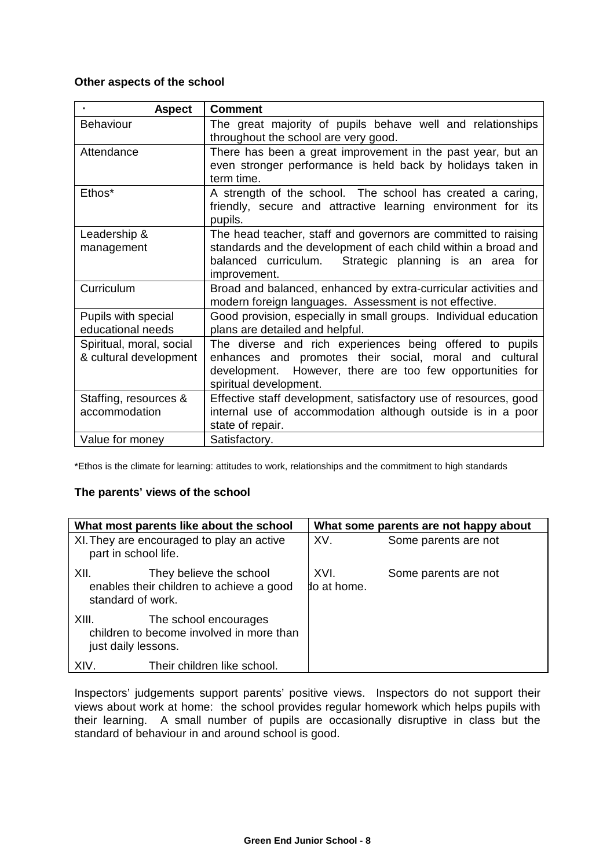#### **Other aspects of the school**

| <b>Aspect</b>                            | <b>Comment</b>                                                                                                                           |
|------------------------------------------|------------------------------------------------------------------------------------------------------------------------------------------|
| Behaviour                                | The great majority of pupils behave well and relationships<br>throughout the school are very good.                                       |
| Attendance                               | There has been a great improvement in the past year, but an<br>even stronger performance is held back by holidays taken in<br>term time. |
| Ethos*                                   | A strength of the school. The school has created a caring,<br>friendly, secure and attractive learning environment for its<br>pupils.    |
| Leadership &                             | The head teacher, staff and governors are committed to raising                                                                           |
| management                               | standards and the development of each child within a broad and                                                                           |
|                                          | balanced curriculum.<br>Strategic planning is an area for<br>improvement.                                                                |
| Curriculum                               | Broad and balanced, enhanced by extra-curricular activities and<br>modern foreign languages. Assessment is not effective.                |
| Pupils with special<br>educational needs | Good provision, especially in small groups. Individual education<br>plans are detailed and helpful.                                      |
| Spiritual, moral, social                 | The diverse and rich experiences being offered to pupils                                                                                 |
| & cultural development                   | enhances and promotes their social, moral and cultural                                                                                   |
|                                          | development. However, there are too few opportunities for                                                                                |
|                                          | spiritual development.                                                                                                                   |
| Staffing, resources &                    | Effective staff development, satisfactory use of resources, good                                                                         |
| accommodation                            | internal use of accommodation although outside is in a poor<br>state of repair.                                                          |
| Value for money                          | Satisfactory.                                                                                                                            |

\*Ethos is the climate for learning: attitudes to work, relationships and the commitment to high standards

## **The parents' views of the school**

| What most parents like about the school |                                                                     | What some parents are not happy about |                      |
|-----------------------------------------|---------------------------------------------------------------------|---------------------------------------|----------------------|
| part in school life.                    | XI. They are encouraged to play an active                           | XV.                                   | Some parents are not |
| XII.<br>standard of work.               | They believe the school<br>enables their children to achieve a good | XVI.<br>do at home.                   | Some parents are not |
| XIII.<br>just daily lessons.            | The school encourages<br>children to become involved in more than   |                                       |                      |
| XIV.                                    | Their children like school.                                         |                                       |                      |

Inspectors' judgements support parents' positive views. Inspectors do not support their views about work at home: the school provides regular homework which helps pupils with their learning. A small number of pupils are occasionally disruptive in class but the standard of behaviour in and around school is good.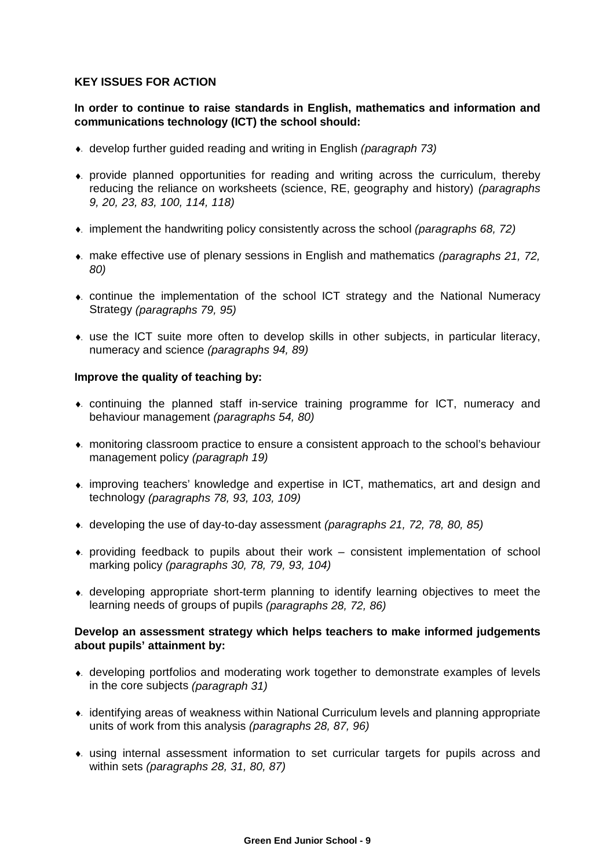#### **KEY ISSUES FOR ACTION**

## **In order to continue to raise standards in English, mathematics and information and communications technology (ICT) the school should:**

- ♦. develop further guided reading and writing in English *(paragraph 73)*
- ♦. provide planned opportunities for reading and writing across the curriculum, thereby reducing the reliance on worksheets (science, RE, geography and history) *(paragraphs 9, 20, 23, 83, 100, 114, 118)*
- ♦. implement the handwriting policy consistently across the school *(paragraphs 68, 72)*
- ♦. make effective use of plenary sessions in English and mathematics *(paragraphs 21, 72, 80)*
- ♦. continue the implementation of the school ICT strategy and the National Numeracy Strategy *(paragraphs 79, 95)*
- ♦. use the ICT suite more often to develop skills in other subjects, in particular literacy, numeracy and science *(paragraphs 94, 89)*

#### **Improve the quality of teaching by:**

- ♦. continuing the planned staff in-service training programme for ICT, numeracy and behaviour management *(paragraphs 54, 80)*
- ♦. monitoring classroom practice to ensure a consistent approach to the school's behaviour management policy *(paragraph 19)*
- ♦. improving teachers' knowledge and expertise in ICT, mathematics, art and design and technology *(paragraphs 78, 93, 103, 109)*
- ♦. developing the use of day-to-day assessment *(paragraphs 21, 72, 78, 80, 85)*
- $\bullet$ . providing feedback to pupils about their work consistent implementation of school marking policy *(paragraphs 30, 78, 79, 93, 104)*
- ♦. developing appropriate short-term planning to identify learning objectives to meet the learning needs of groups of pupils *(paragraphs 28, 72, 86)*

#### **Develop an assessment strategy which helps teachers to make informed judgements about pupils' attainment by:**

- ♦. developing portfolios and moderating work together to demonstrate examples of levels in the core subjects *(paragraph 31)*
- ♦. identifying areas of weakness within National Curriculum levels and planning appropriate units of work from this analysis *(paragraphs 28, 87, 96)*
- ♦. using internal assessment information to set curricular targets for pupils across and within sets *(paragraphs 28, 31, 80, 87)*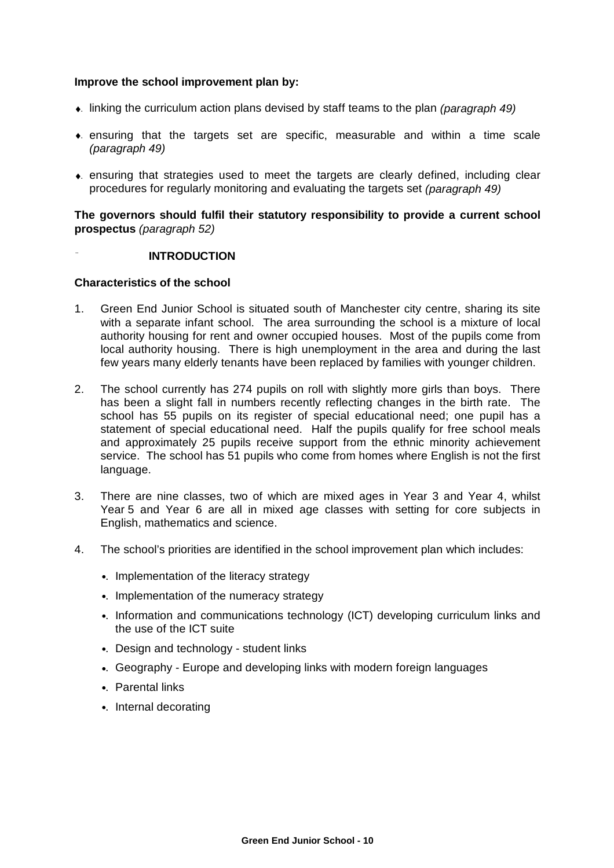#### **Improve the school improvement plan by:**

- ♦. linking the curriculum action plans devised by staff teams to the plan *(paragraph 49)*
- $\bullet$ . ensuring that the targets set are specific, measurable and within a time scale *(paragraph 49)*
- ♦. ensuring that strategies used to meet the targets are clearly defined, including clear procedures for regularly monitoring and evaluating the targets set *(paragraph 49)*

**The governors should fulfil their statutory responsibility to provide a current school prospectus** *(paragraph 52)*

#### **INTRODUCTION**

#### **Characteristics of the school**

- 1. Green End Junior School is situated south of Manchester city centre, sharing its site with a separate infant school. The area surrounding the school is a mixture of local authority housing for rent and owner occupied houses. Most of the pupils come from local authority housing. There is high unemployment in the area and during the last few years many elderly tenants have been replaced by families with younger children.
- 2. The school currently has 274 pupils on roll with slightly more girls than boys. There has been a slight fall in numbers recently reflecting changes in the birth rate. The school has 55 pupils on its register of special educational need; one pupil has a statement of special educational need. Half the pupils qualify for free school meals and approximately 25 pupils receive support from the ethnic minority achievement service. The school has 51 pupils who come from homes where English is not the first language.
- 3. There are nine classes, two of which are mixed ages in Year 3 and Year 4, whilst Year 5 and Year 6 are all in mixed age classes with setting for core subjects in English, mathematics and science.
- 4. The school's priorities are identified in the school improvement plan which includes:
	- •. Implementation of the literacy strategy
	- •. Implementation of the numeracy strategy
	- •. Information and communications technology (ICT) developing curriculum links and the use of the ICT suite
	- •. Design and technology student links
	- •. Geography Europe and developing links with modern foreign languages
	- •. Parental links
	- •. Internal decorating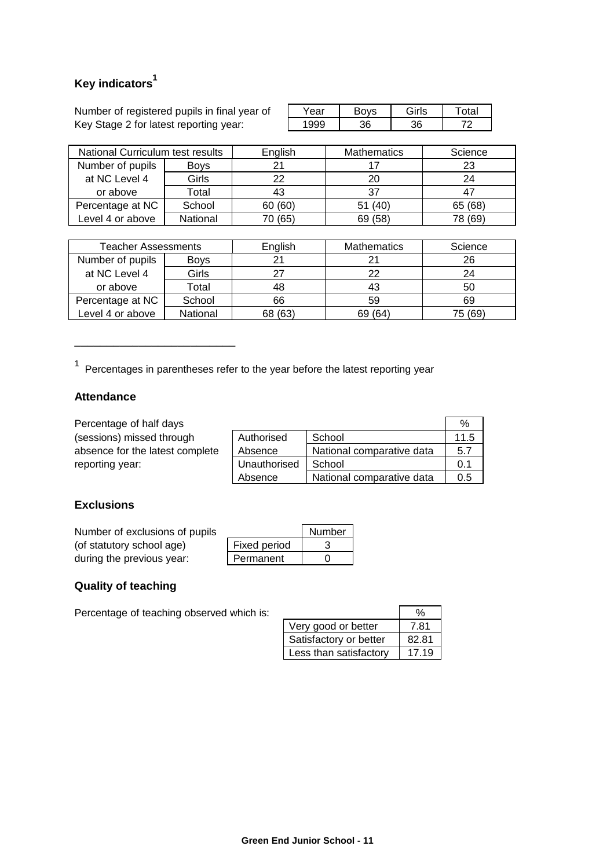# **Key indicators<sup>1</sup>**

Number of registered pupils in final year of Key Stage 2 for latest reporting year:

| ear | $\sqrt{2}$ | $\bigcap_{n=1}^{\infty}$ | tal |
|-----|------------|--------------------------|-----|
|     |            |                          | יי  |

| National Curriculum test results |          | English | <b>Mathematics</b> | Science |
|----------------------------------|----------|---------|--------------------|---------|
| Number of pupils<br><b>Boys</b>  |          | 21      |                    | 23      |
| at NC Level 4                    | Girls    | 22      | 20                 | 24      |
| or above                         | Total    | 43      | 37                 |         |
| Percentage at NC                 | School   | 60 (60) | (40)               | 65 (68) |
| Level 4 or above                 | National | 70 (65) | (58)<br>69         | 78 (69) |

| <b>Teacher Assessments</b> |             | English | <b>Mathematics</b> | Science |
|----------------------------|-------------|---------|--------------------|---------|
| Number of pupils           | <b>Boys</b> |         |                    | 26      |
| at NC Level 4              | Girls       |         | つつ                 | 24      |
| or above                   | Total       | 48      | 43                 | 50      |
| Percentage at NC           | School      | 66      | 59                 | 69      |
| Level 4 or above           | National    | 68 (63) | 69 (64)            | 75 (69) |

 $1$  Percentages in parentheses refer to the year before the latest reporting year

## **Attendance**

\_\_\_\_\_\_\_\_\_\_\_\_\_\_\_\_\_\_\_\_\_\_\_\_\_

| Percentage of half days         |              |                           | %    |
|---------------------------------|--------------|---------------------------|------|
| (sessions) missed through       | Authorised   | School                    | 11.5 |
| absence for the latest complete | Absence      | National comparative data | 5.7  |
| reporting year:                 | Unauthorised | School                    | 0.1  |
|                                 | Absence      | National comparative data | 0.5  |

## **Exclusions**

| Number of exclusions of pupils |              | Number |
|--------------------------------|--------------|--------|
| (of statutory school age)      | Fixed period |        |
| during the previous year:      | Permanent    |        |

## **Quality of teaching**

Percentage of teaching observed which is:

|                        | %     |
|------------------------|-------|
| Very good or better    | 7.81  |
| Satisfactory or better | 82.81 |
| Less than satisfactory | 17.19 |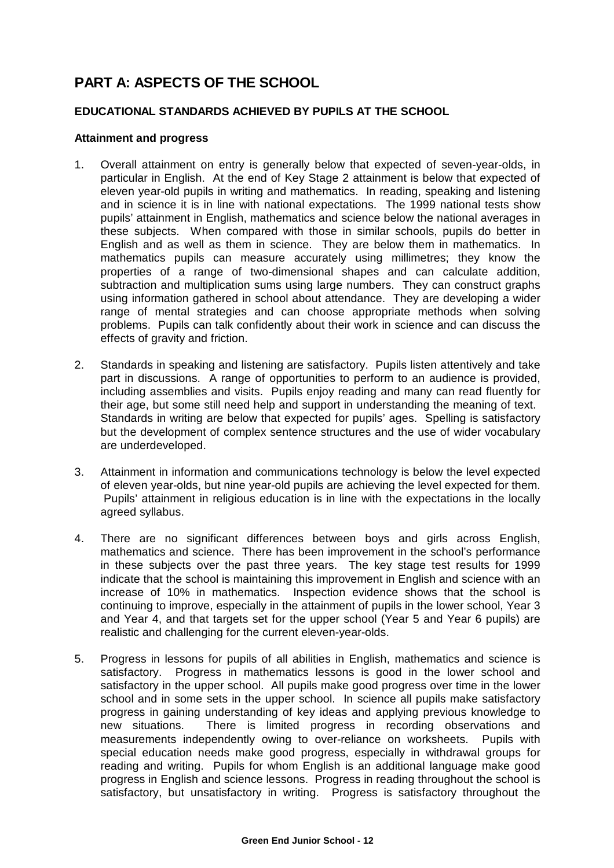# **PART A: ASPECTS OF THE SCHOOL**

## **EDUCATIONAL STANDARDS ACHIEVED BY PUPILS AT THE SCHOOL**

#### **Attainment and progress**

- 1. Overall attainment on entry is generally below that expected of seven-year-olds, in particular in English. At the end of Key Stage 2 attainment is below that expected of eleven year-old pupils in writing and mathematics. In reading, speaking and listening and in science it is in line with national expectations. The 1999 national tests show pupils' attainment in English, mathematics and science below the national averages in these subjects. When compared with those in similar schools, pupils do better in English and as well as them in science. They are below them in mathematics. In mathematics pupils can measure accurately using millimetres; they know the properties of a range of two-dimensional shapes and can calculate addition, subtraction and multiplication sums using large numbers. They can construct graphs using information gathered in school about attendance. They are developing a wider range of mental strategies and can choose appropriate methods when solving problems. Pupils can talk confidently about their work in science and can discuss the effects of gravity and friction.
- 2. Standards in speaking and listening are satisfactory. Pupils listen attentively and take part in discussions. A range of opportunities to perform to an audience is provided, including assemblies and visits. Pupils enjoy reading and many can read fluently for their age, but some still need help and support in understanding the meaning of text. Standards in writing are below that expected for pupils' ages. Spelling is satisfactory but the development of complex sentence structures and the use of wider vocabulary are underdeveloped.
- 3. Attainment in information and communications technology is below the level expected of eleven year-olds, but nine year-old pupils are achieving the level expected for them. Pupils' attainment in religious education is in line with the expectations in the locally agreed syllabus.
- 4. There are no significant differences between boys and girls across English, mathematics and science. There has been improvement in the school's performance in these subjects over the past three years. The key stage test results for 1999 indicate that the school is maintaining this improvement in English and science with an increase of 10% in mathematics. Inspection evidence shows that the school is continuing to improve, especially in the attainment of pupils in the lower school, Year 3 and Year 4, and that targets set for the upper school (Year 5 and Year 6 pupils) are realistic and challenging for the current eleven-year-olds.
- 5. Progress in lessons for pupils of all abilities in English, mathematics and science is satisfactory. Progress in mathematics lessons is good in the lower school and satisfactory in the upper school. All pupils make good progress over time in the lower school and in some sets in the upper school. In science all pupils make satisfactory progress in gaining understanding of key ideas and applying previous knowledge to new situations. There is limited progress in recording observations and measurements independently owing to over-reliance on worksheets. Pupils with special education needs make good progress, especially in withdrawal groups for reading and writing. Pupils for whom English is an additional language make good progress in English and science lessons. Progress in reading throughout the school is satisfactory, but unsatisfactory in writing. Progress is satisfactory throughout the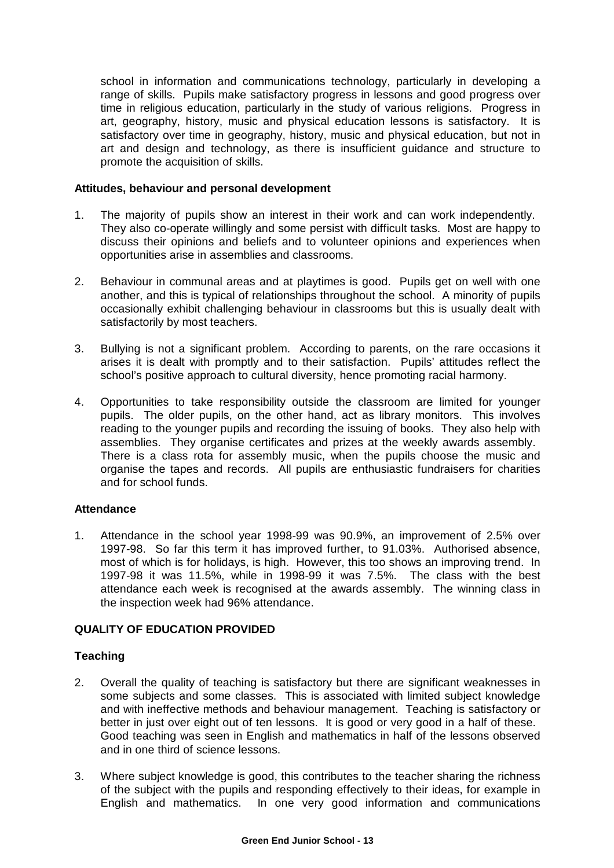school in information and communications technology, particularly in developing a range of skills. Pupils make satisfactory progress in lessons and good progress over time in religious education, particularly in the study of various religions. Progress in art, geography, history, music and physical education lessons is satisfactory. It is satisfactory over time in geography, history, music and physical education, but not in art and design and technology, as there is insufficient guidance and structure to promote the acquisition of skills.

#### **Attitudes, behaviour and personal development**

- 1. The majority of pupils show an interest in their work and can work independently. They also co-operate willingly and some persist with difficult tasks. Most are happy to discuss their opinions and beliefs and to volunteer opinions and experiences when opportunities arise in assemblies and classrooms.
- 2. Behaviour in communal areas and at playtimes is good. Pupils get on well with one another, and this is typical of relationships throughout the school. A minority of pupils occasionally exhibit challenging behaviour in classrooms but this is usually dealt with satisfactorily by most teachers.
- 3. Bullying is not a significant problem. According to parents, on the rare occasions it arises it is dealt with promptly and to their satisfaction. Pupils' attitudes reflect the school's positive approach to cultural diversity, hence promoting racial harmony.
- 4. Opportunities to take responsibility outside the classroom are limited for younger pupils. The older pupils, on the other hand, act as library monitors. This involves reading to the younger pupils and recording the issuing of books. They also help with assemblies. They organise certificates and prizes at the weekly awards assembly. There is a class rota for assembly music, when the pupils choose the music and organise the tapes and records. All pupils are enthusiastic fundraisers for charities and for school funds.

## **Attendance**

1. Attendance in the school year 1998-99 was 90.9%, an improvement of 2.5% over 1997-98. So far this term it has improved further, to 91.03%. Authorised absence, most of which is for holidays, is high. However, this too shows an improving trend. In 1997-98 it was 11.5%, while in 1998-99 it was 7.5%. The class with the best attendance each week is recognised at the awards assembly. The winning class in the inspection week had 96% attendance.

## **QUALITY OF EDUCATION PROVIDED**

## **Teaching**

- 2. Overall the quality of teaching is satisfactory but there are significant weaknesses in some subjects and some classes. This is associated with limited subject knowledge and with ineffective methods and behaviour management. Teaching is satisfactory or better in just over eight out of ten lessons. It is good or very good in a half of these. Good teaching was seen in English and mathematics in half of the lessons observed and in one third of science lessons.
- 3. Where subject knowledge is good, this contributes to the teacher sharing the richness of the subject with the pupils and responding effectively to their ideas, for example in English and mathematics. In one very good information and communications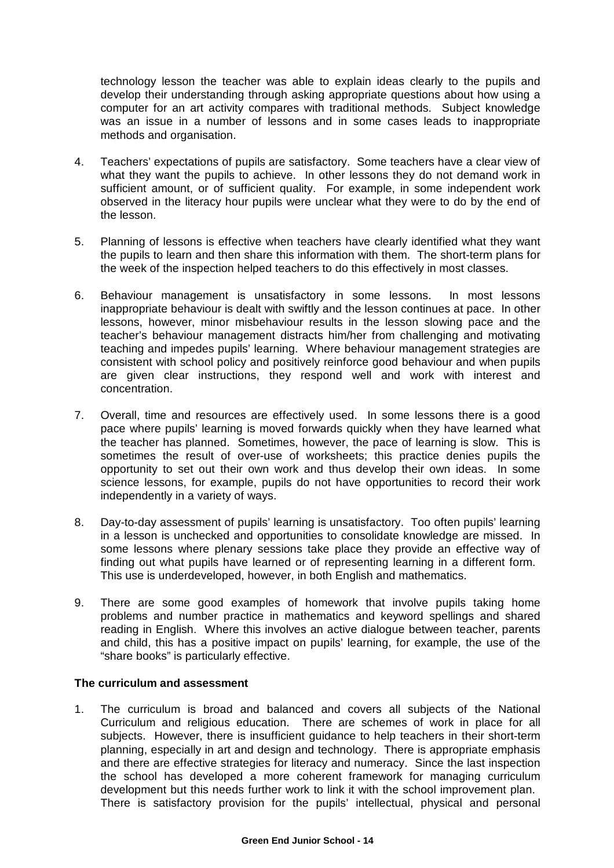technology lesson the teacher was able to explain ideas clearly to the pupils and develop their understanding through asking appropriate questions about how using a computer for an art activity compares with traditional methods. Subject knowledge was an issue in a number of lessons and in some cases leads to inappropriate methods and organisation.

- 4. Teachers' expectations of pupils are satisfactory. Some teachers have a clear view of what they want the pupils to achieve. In other lessons they do not demand work in sufficient amount, or of sufficient quality. For example, in some independent work observed in the literacy hour pupils were unclear what they were to do by the end of the lesson.
- 5. Planning of lessons is effective when teachers have clearly identified what they want the pupils to learn and then share this information with them. The short-term plans for the week of the inspection helped teachers to do this effectively in most classes.
- 6. Behaviour management is unsatisfactory in some lessons. In most lessons inappropriate behaviour is dealt with swiftly and the lesson continues at pace. In other lessons, however, minor misbehaviour results in the lesson slowing pace and the teacher's behaviour management distracts him/her from challenging and motivating teaching and impedes pupils' learning. Where behaviour management strategies are consistent with school policy and positively reinforce good behaviour and when pupils are given clear instructions, they respond well and work with interest and concentration.
- 7. Overall, time and resources are effectively used. In some lessons there is a good pace where pupils' learning is moved forwards quickly when they have learned what the teacher has planned. Sometimes, however, the pace of learning is slow. This is sometimes the result of over-use of worksheets; this practice denies pupils the opportunity to set out their own work and thus develop their own ideas. In some science lessons, for example, pupils do not have opportunities to record their work independently in a variety of ways.
- 8. Day-to-day assessment of pupils' learning is unsatisfactory. Too often pupils' learning in a lesson is unchecked and opportunities to consolidate knowledge are missed. In some lessons where plenary sessions take place they provide an effective way of finding out what pupils have learned or of representing learning in a different form. This use is underdeveloped, however, in both English and mathematics.
- 9. There are some good examples of homework that involve pupils taking home problems and number practice in mathematics and keyword spellings and shared reading in English. Where this involves an active dialogue between teacher, parents and child, this has a positive impact on pupils' learning, for example, the use of the "share books" is particularly effective.

## **The curriculum and assessment**

1. The curriculum is broad and balanced and covers all subjects of the National Curriculum and religious education. There are schemes of work in place for all subjects. However, there is insufficient guidance to help teachers in their short-term planning, especially in art and design and technology. There is appropriate emphasis and there are effective strategies for literacy and numeracy. Since the last inspection the school has developed a more coherent framework for managing curriculum development but this needs further work to link it with the school improvement plan. There is satisfactory provision for the pupils' intellectual, physical and personal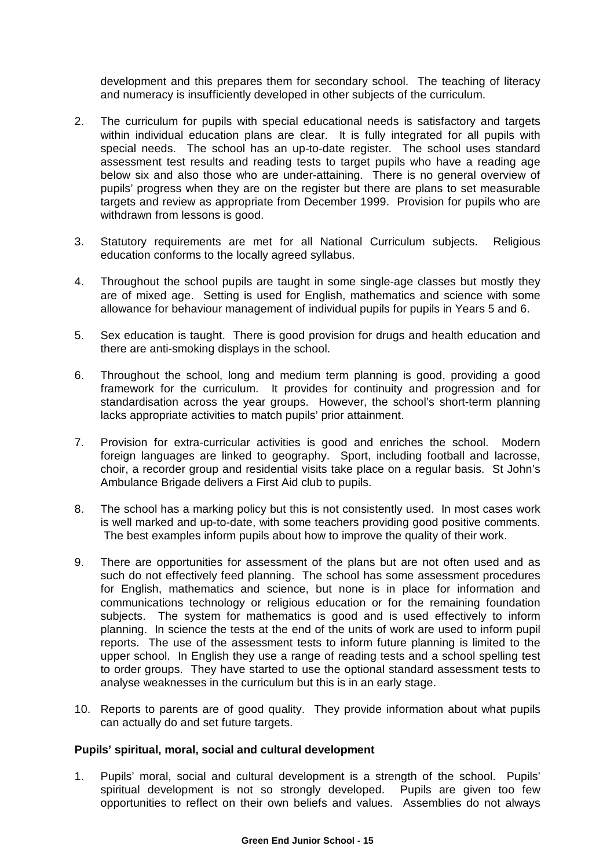development and this prepares them for secondary school. The teaching of literacy and numeracy is insufficiently developed in other subjects of the curriculum.

- 2. The curriculum for pupils with special educational needs is satisfactory and targets within individual education plans are clear. It is fully integrated for all pupils with special needs. The school has an up-to-date register. The school uses standard assessment test results and reading tests to target pupils who have a reading age below six and also those who are under-attaining. There is no general overview of pupils' progress when they are on the register but there are plans to set measurable targets and review as appropriate from December 1999. Provision for pupils who are withdrawn from lessons is good.
- 3. Statutory requirements are met for all National Curriculum subjects. Religious education conforms to the locally agreed syllabus.
- 4. Throughout the school pupils are taught in some single-age classes but mostly they are of mixed age. Setting is used for English, mathematics and science with some allowance for behaviour management of individual pupils for pupils in Years 5 and 6.
- 5. Sex education is taught. There is good provision for drugs and health education and there are anti-smoking displays in the school.
- 6. Throughout the school, long and medium term planning is good, providing a good framework for the curriculum. It provides for continuity and progression and for standardisation across the year groups. However, the school's short-term planning lacks appropriate activities to match pupils' prior attainment.
- 7. Provision for extra-curricular activities is good and enriches the school. Modern foreign languages are linked to geography. Sport, including football and lacrosse, choir, a recorder group and residential visits take place on a regular basis. St John's Ambulance Brigade delivers a First Aid club to pupils.
- 8. The school has a marking policy but this is not consistently used. In most cases work is well marked and up-to-date, with some teachers providing good positive comments. The best examples inform pupils about how to improve the quality of their work.
- 9. There are opportunities for assessment of the plans but are not often used and as such do not effectively feed planning. The school has some assessment procedures for English, mathematics and science, but none is in place for information and communications technology or religious education or for the remaining foundation subjects. The system for mathematics is good and is used effectively to inform planning. In science the tests at the end of the units of work are used to inform pupil reports. The use of the assessment tests to inform future planning is limited to the upper school. In English they use a range of reading tests and a school spelling test to order groups. They have started to use the optional standard assessment tests to analyse weaknesses in the curriculum but this is in an early stage.
- 10. Reports to parents are of good quality. They provide information about what pupils can actually do and set future targets.

#### **Pupils' spiritual, moral, social and cultural development**

1. Pupils' moral, social and cultural development is a strength of the school. Pupils' spiritual development is not so strongly developed. Pupils are given too few opportunities to reflect on their own beliefs and values. Assemblies do not always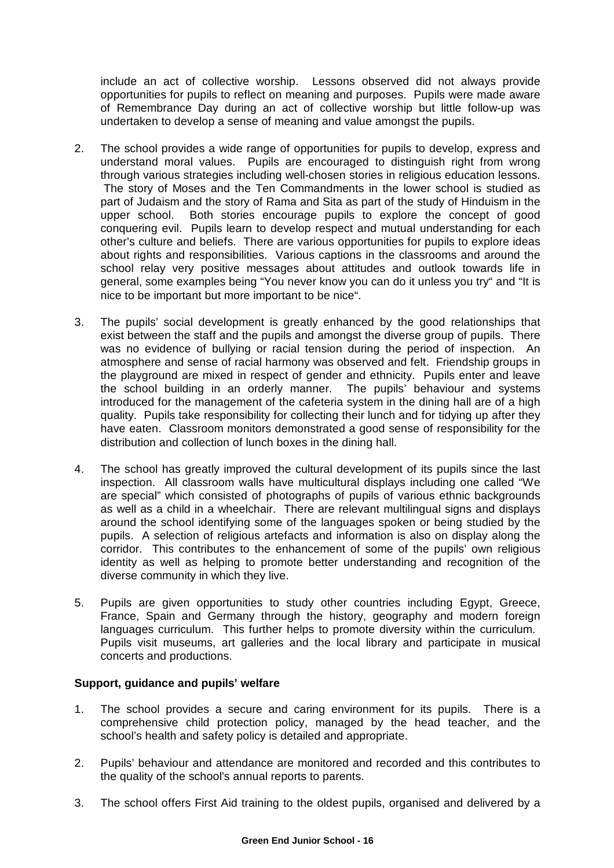include an act of collective worship. Lessons observed did not always provide opportunities for pupils to reflect on meaning and purposes. Pupils were made aware of Remembrance Day during an act of collective worship but little follow-up was undertaken to develop a sense of meaning and value amongst the pupils.

- 2. The school provides a wide range of opportunities for pupils to develop, express and understand moral values. Pupils are encouraged to distinguish right from wrong through various strategies including well-chosen stories in religious education lessons. The story of Moses and the Ten Commandments in the lower school is studied as part of Judaism and the story of Rama and Sita as part of the study of Hinduism in the upper school. Both stories encourage pupils to explore the concept of good conquering evil. Pupils learn to develop respect and mutual understanding for each other's culture and beliefs. There are various opportunities for pupils to explore ideas about rights and responsibilities. Various captions in the classrooms and around the school relay very positive messages about attitudes and outlook towards life in general, some examples being "You never know you can do it unless you try" and "It is nice to be important but more important to be nice".
- 3. The pupils' social development is greatly enhanced by the good relationships that exist between the staff and the pupils and amongst the diverse group of pupils. There was no evidence of bullying or racial tension during the period of inspection. An atmosphere and sense of racial harmony was observed and felt. Friendship groups in the playground are mixed in respect of gender and ethnicity. Pupils enter and leave the school building in an orderly manner. The pupils' behaviour and systems introduced for the management of the cafeteria system in the dining hall are of a high quality. Pupils take responsibility for collecting their lunch and for tidying up after they have eaten. Classroom monitors demonstrated a good sense of responsibility for the distribution and collection of lunch boxes in the dining hall.
- 4. The school has greatly improved the cultural development of its pupils since the last inspection. All classroom walls have multicultural displays including one called "We are special" which consisted of photographs of pupils of various ethnic backgrounds as well as a child in a wheelchair. There are relevant multilingual signs and displays around the school identifying some of the languages spoken or being studied by the pupils. A selection of religious artefacts and information is also on display along the corridor. This contributes to the enhancement of some of the pupils' own religious identity as well as helping to promote better understanding and recognition of the diverse community in which they live.
- 5. Pupils are given opportunities to study other countries including Egypt, Greece, France, Spain and Germany through the history, geography and modern foreign languages curriculum. This further helps to promote diversity within the curriculum. Pupils visit museums, art galleries and the local library and participate in musical concerts and productions.

## **Support, guidance and pupils' welfare**

- 1. The school provides a secure and caring environment for its pupils. There is a comprehensive child protection policy, managed by the head teacher, and the school's health and safety policy is detailed and appropriate.
- 2. Pupils' behaviour and attendance are monitored and recorded and this contributes to the quality of the school's annual reports to parents.
- 3. The school offers First Aid training to the oldest pupils, organised and delivered by a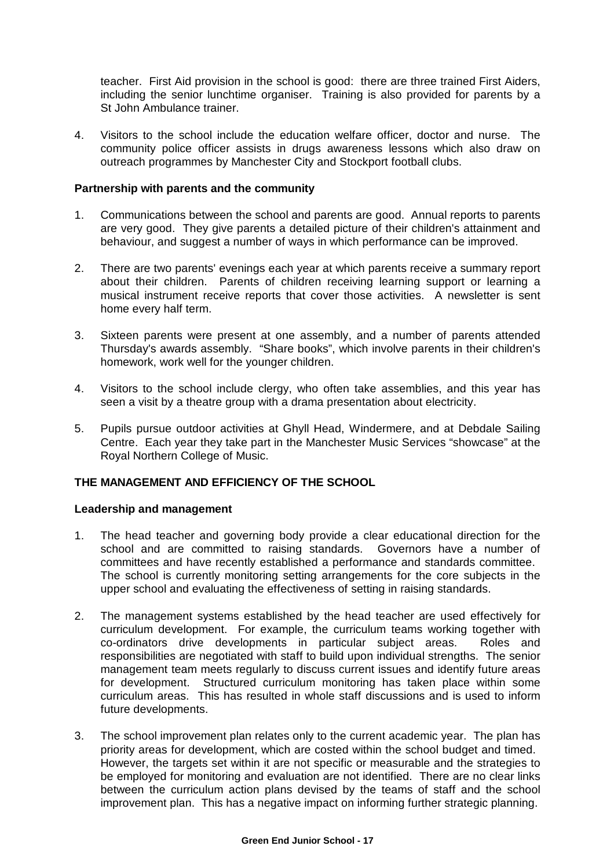teacher. First Aid provision in the school is good: there are three trained First Aiders, including the senior lunchtime organiser. Training is also provided for parents by a St John Ambulance trainer.

4. Visitors to the school include the education welfare officer, doctor and nurse. The community police officer assists in drugs awareness lessons which also draw on outreach programmes by Manchester City and Stockport football clubs.

#### **Partnership with parents and the community**

- 1. Communications between the school and parents are good. Annual reports to parents are very good. They give parents a detailed picture of their children's attainment and behaviour, and suggest a number of ways in which performance can be improved.
- 2. There are two parents' evenings each year at which parents receive a summary report about their children. Parents of children receiving learning support or learning a musical instrument receive reports that cover those activities. A newsletter is sent home every half term.
- 3. Sixteen parents were present at one assembly, and a number of parents attended Thursday's awards assembly. "Share books", which involve parents in their children's homework, work well for the younger children.
- 4. Visitors to the school include clergy, who often take assemblies, and this year has seen a visit by a theatre group with a drama presentation about electricity.
- 5. Pupils pursue outdoor activities at Ghyll Head, Windermere, and at Debdale Sailing Centre. Each year they take part in the Manchester Music Services "showcase" at the Royal Northern College of Music.

## **THE MANAGEMENT AND EFFICIENCY OF THE SCHOOL**

#### **Leadership and management**

- 1. The head teacher and governing body provide a clear educational direction for the school and are committed to raising standards. Governors have a number of committees and have recently established a performance and standards committee. The school is currently monitoring setting arrangements for the core subjects in the upper school and evaluating the effectiveness of setting in raising standards.
- 2. The management systems established by the head teacher are used effectively for curriculum development. For example, the curriculum teams working together with co-ordinators drive developments in particular subject areas. Roles and responsibilities are negotiated with staff to build upon individual strengths. The senior management team meets regularly to discuss current issues and identify future areas for development. Structured curriculum monitoring has taken place within some curriculum areas. This has resulted in whole staff discussions and is used to inform future developments.
- 3. The school improvement plan relates only to the current academic year. The plan has priority areas for development, which are costed within the school budget and timed. However, the targets set within it are not specific or measurable and the strategies to be employed for monitoring and evaluation are not identified. There are no clear links between the curriculum action plans devised by the teams of staff and the school improvement plan. This has a negative impact on informing further strategic planning.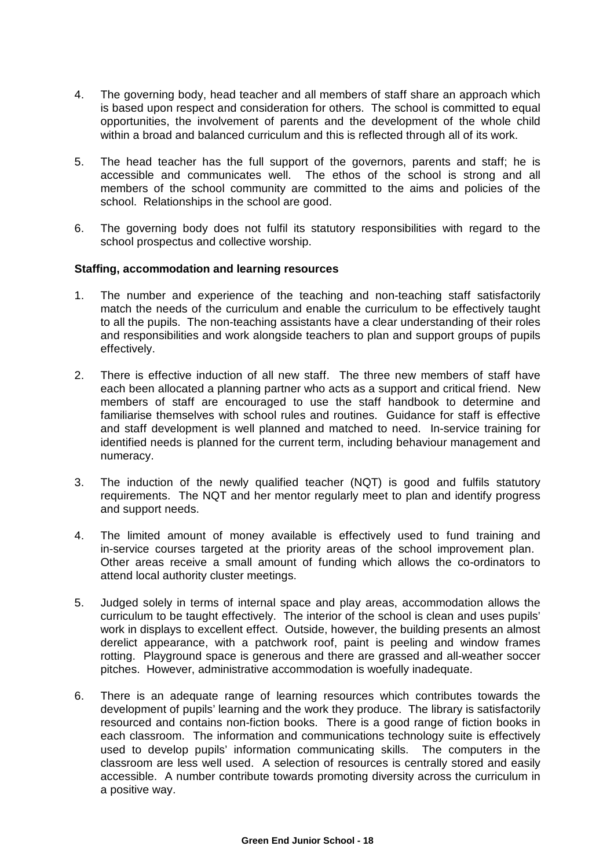- 4. The governing body, head teacher and all members of staff share an approach which is based upon respect and consideration for others. The school is committed to equal opportunities, the involvement of parents and the development of the whole child within a broad and balanced curriculum and this is reflected through all of its work.
- 5. The head teacher has the full support of the governors, parents and staff; he is accessible and communicates well. The ethos of the school is strong and all members of the school community are committed to the aims and policies of the school. Relationships in the school are good.
- 6. The governing body does not fulfil its statutory responsibilities with regard to the school prospectus and collective worship.

#### **Staffing, accommodation and learning resources**

- 1. The number and experience of the teaching and non-teaching staff satisfactorily match the needs of the curriculum and enable the curriculum to be effectively taught to all the pupils. The non-teaching assistants have a clear understanding of their roles and responsibilities and work alongside teachers to plan and support groups of pupils effectively.
- 2. There is effective induction of all new staff. The three new members of staff have each been allocated a planning partner who acts as a support and critical friend. New members of staff are encouraged to use the staff handbook to determine and familiarise themselves with school rules and routines. Guidance for staff is effective and staff development is well planned and matched to need. In-service training for identified needs is planned for the current term, including behaviour management and numeracy.
- 3. The induction of the newly qualified teacher (NQT) is good and fulfils statutory requirements. The NQT and her mentor regularly meet to plan and identify progress and support needs.
- 4. The limited amount of money available is effectively used to fund training and in-service courses targeted at the priority areas of the school improvement plan. Other areas receive a small amount of funding which allows the co-ordinators to attend local authority cluster meetings.
- 5. Judged solely in terms of internal space and play areas, accommodation allows the curriculum to be taught effectively. The interior of the school is clean and uses pupils' work in displays to excellent effect. Outside, however, the building presents an almost derelict appearance, with a patchwork roof, paint is peeling and window frames rotting. Playground space is generous and there are grassed and all-weather soccer pitches. However, administrative accommodation is woefully inadequate.
- 6. There is an adequate range of learning resources which contributes towards the development of pupils' learning and the work they produce. The library is satisfactorily resourced and contains non-fiction books. There is a good range of fiction books in each classroom. The information and communications technology suite is effectively used to develop pupils' information communicating skills. The computers in the classroom are less well used. A selection of resources is centrally stored and easily accessible. A number contribute towards promoting diversity across the curriculum in a positive way.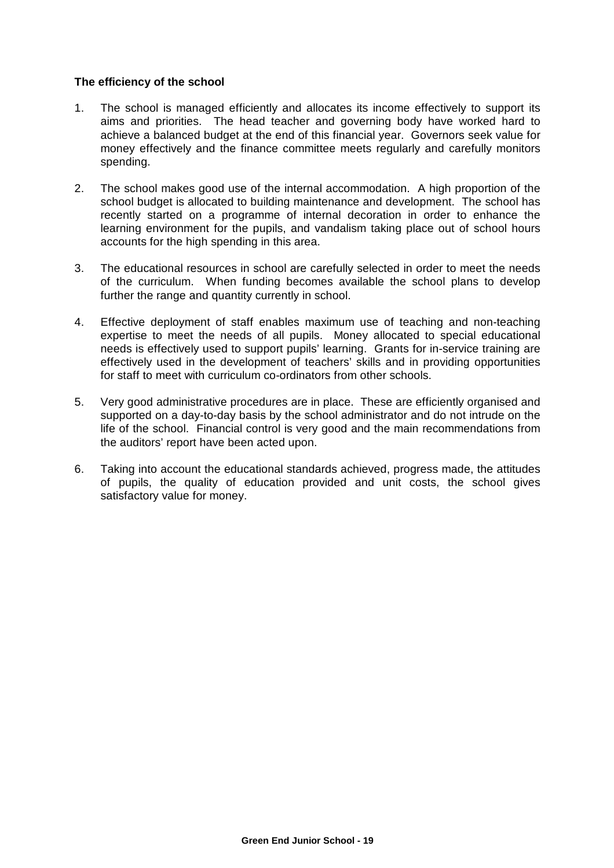#### **The efficiency of the school**

- 1. The school is managed efficiently and allocates its income effectively to support its aims and priorities. The head teacher and governing body have worked hard to achieve a balanced budget at the end of this financial year. Governors seek value for money effectively and the finance committee meets regularly and carefully monitors spending.
- 2. The school makes good use of the internal accommodation. A high proportion of the school budget is allocated to building maintenance and development. The school has recently started on a programme of internal decoration in order to enhance the learning environment for the pupils, and vandalism taking place out of school hours accounts for the high spending in this area.
- 3. The educational resources in school are carefully selected in order to meet the needs of the curriculum. When funding becomes available the school plans to develop further the range and quantity currently in school.
- 4. Effective deployment of staff enables maximum use of teaching and non-teaching expertise to meet the needs of all pupils. Money allocated to special educational needs is effectively used to support pupils' learning. Grants for in-service training are effectively used in the development of teachers' skills and in providing opportunities for staff to meet with curriculum co-ordinators from other schools.
- 5. Very good administrative procedures are in place. These are efficiently organised and supported on a day-to-day basis by the school administrator and do not intrude on the life of the school. Financial control is very good and the main recommendations from the auditors' report have been acted upon.
- 6. Taking into account the educational standards achieved, progress made, the attitudes of pupils, the quality of education provided and unit costs, the school gives satisfactory value for money.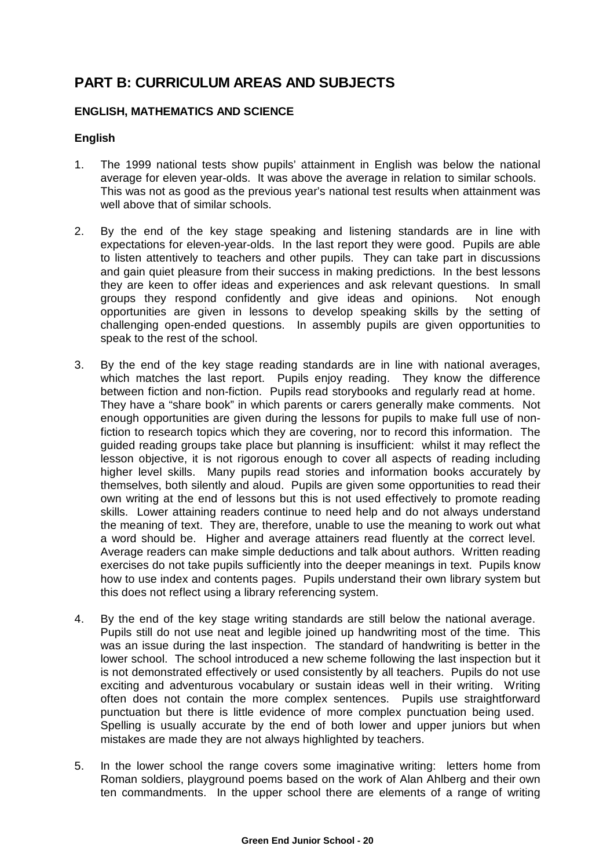## **PART B: CURRICULUM AREAS AND SUBJECTS**

## **ENGLISH, MATHEMATICS AND SCIENCE**

## **English**

- 1. The 1999 national tests show pupils' attainment in English was below the national average for eleven year-olds. It was above the average in relation to similar schools. This was not as good as the previous year's national test results when attainment was well above that of similar schools.
- 2. By the end of the key stage speaking and listening standards are in line with expectations for eleven-year-olds. In the last report they were good. Pupils are able to listen attentively to teachers and other pupils. They can take part in discussions and gain quiet pleasure from their success in making predictions. In the best lessons they are keen to offer ideas and experiences and ask relevant questions. In small groups they respond confidently and give ideas and opinions. Not enough opportunities are given in lessons to develop speaking skills by the setting of challenging open-ended questions. In assembly pupils are given opportunities to speak to the rest of the school.
- 3. By the end of the key stage reading standards are in line with national averages, which matches the last report. Pupils enjoy reading. They know the difference between fiction and non-fiction. Pupils read storybooks and regularly read at home. They have a "share book" in which parents or carers generally make comments. Not enough opportunities are given during the lessons for pupils to make full use of nonfiction to research topics which they are covering, nor to record this information. The guided reading groups take place but planning is insufficient: whilst it may reflect the lesson objective, it is not rigorous enough to cover all aspects of reading including higher level skills. Many pupils read stories and information books accurately by themselves, both silently and aloud. Pupils are given some opportunities to read their own writing at the end of lessons but this is not used effectively to promote reading skills. Lower attaining readers continue to need help and do not always understand the meaning of text. They are, therefore, unable to use the meaning to work out what a word should be. Higher and average attainers read fluently at the correct level. Average readers can make simple deductions and talk about authors. Written reading exercises do not take pupils sufficiently into the deeper meanings in text. Pupils know how to use index and contents pages. Pupils understand their own library system but this does not reflect using a library referencing system.
- 4. By the end of the key stage writing standards are still below the national average. Pupils still do not use neat and legible joined up handwriting most of the time. This was an issue during the last inspection. The standard of handwriting is better in the lower school. The school introduced a new scheme following the last inspection but it is not demonstrated effectively or used consistently by all teachers. Pupils do not use exciting and adventurous vocabulary or sustain ideas well in their writing. Writing often does not contain the more complex sentences. Pupils use straightforward punctuation but there is little evidence of more complex punctuation being used. Spelling is usually accurate by the end of both lower and upper juniors but when mistakes are made they are not always highlighted by teachers.
- 5. In the lower school the range covers some imaginative writing: letters home from Roman soldiers, playground poems based on the work of Alan Ahlberg and their own ten commandments. In the upper school there are elements of a range of writing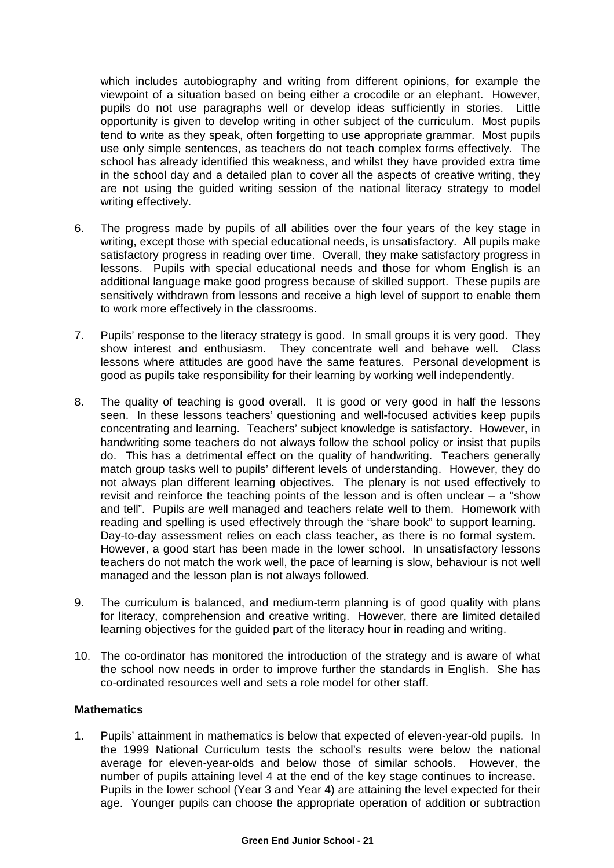which includes autobiography and writing from different opinions, for example the viewpoint of a situation based on being either a crocodile or an elephant. However, pupils do not use paragraphs well or develop ideas sufficiently in stories. Little opportunity is given to develop writing in other subject of the curriculum. Most pupils tend to write as they speak, often forgetting to use appropriate grammar. Most pupils use only simple sentences, as teachers do not teach complex forms effectively. The school has already identified this weakness, and whilst they have provided extra time in the school day and a detailed plan to cover all the aspects of creative writing, they are not using the guided writing session of the national literacy strategy to model writing effectively.

- 6. The progress made by pupils of all abilities over the four years of the key stage in writing, except those with special educational needs, is unsatisfactory. All pupils make satisfactory progress in reading over time. Overall, they make satisfactory progress in lessons. Pupils with special educational needs and those for whom English is an additional language make good progress because of skilled support. These pupils are sensitively withdrawn from lessons and receive a high level of support to enable them to work more effectively in the classrooms.
- 7. Pupils' response to the literacy strategy is good. In small groups it is very good. They show interest and enthusiasm. They concentrate well and behave well. Class lessons where attitudes are good have the same features. Personal development is good as pupils take responsibility for their learning by working well independently.
- 8. The quality of teaching is good overall. It is good or very good in half the lessons seen. In these lessons teachers' questioning and well-focused activities keep pupils concentrating and learning. Teachers' subject knowledge is satisfactory. However, in handwriting some teachers do not always follow the school policy or insist that pupils do. This has a detrimental effect on the quality of handwriting. Teachers generally match group tasks well to pupils' different levels of understanding. However, they do not always plan different learning objectives. The plenary is not used effectively to revisit and reinforce the teaching points of the lesson and is often unclear  $-$  a "show and tell". Pupils are well managed and teachers relate well to them. Homework with reading and spelling is used effectively through the "share book" to support learning. Day-to-day assessment relies on each class teacher, as there is no formal system. However, a good start has been made in the lower school. In unsatisfactory lessons teachers do not match the work well, the pace of learning is slow, behaviour is not well managed and the lesson plan is not always followed.
- 9. The curriculum is balanced, and medium-term planning is of good quality with plans for literacy, comprehension and creative writing. However, there are limited detailed learning objectives for the guided part of the literacy hour in reading and writing.
- 10. The co-ordinator has monitored the introduction of the strategy and is aware of what the school now needs in order to improve further the standards in English. She has co-ordinated resources well and sets a role model for other staff.

## **Mathematics**

1. Pupils' attainment in mathematics is below that expected of eleven-year-old pupils. In the 1999 National Curriculum tests the school's results were below the national average for eleven-year-olds and below those of similar schools. However, the number of pupils attaining level 4 at the end of the key stage continues to increase. Pupils in the lower school (Year 3 and Year 4) are attaining the level expected for their age. Younger pupils can choose the appropriate operation of addition or subtraction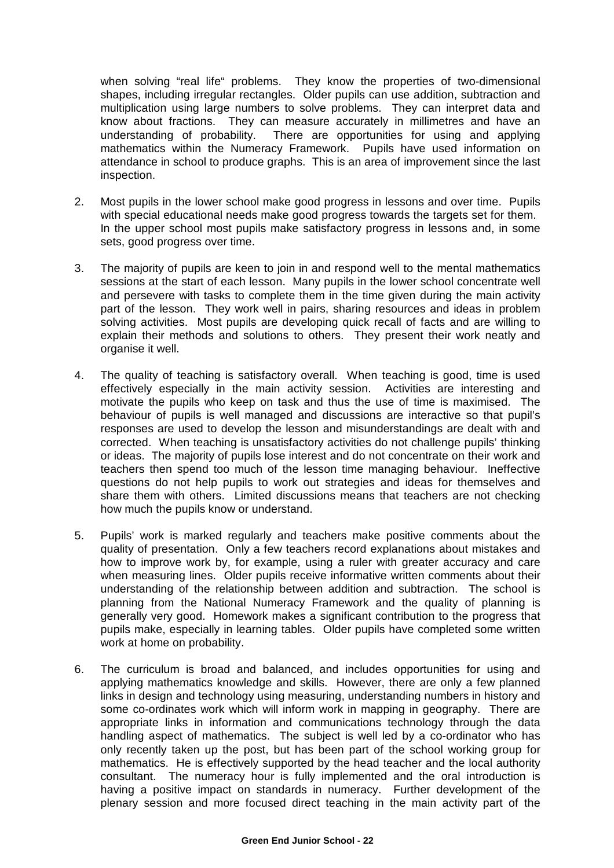when solving "real life" problems. They know the properties of two-dimensional shapes, including irregular rectangles. Older pupils can use addition, subtraction and multiplication using large numbers to solve problems. They can interpret data and know about fractions. They can measure accurately in millimetres and have an understanding of probability. There are opportunities for using and applying mathematics within the Numeracy Framework. Pupils have used information on attendance in school to produce graphs. This is an area of improvement since the last inspection.

- 2. Most pupils in the lower school make good progress in lessons and over time. Pupils with special educational needs make good progress towards the targets set for them. In the upper school most pupils make satisfactory progress in lessons and, in some sets, good progress over time.
- 3. The majority of pupils are keen to join in and respond well to the mental mathematics sessions at the start of each lesson. Many pupils in the lower school concentrate well and persevere with tasks to complete them in the time given during the main activity part of the lesson. They work well in pairs, sharing resources and ideas in problem solving activities. Most pupils are developing quick recall of facts and are willing to explain their methods and solutions to others. They present their work neatly and organise it well.
- 4. The quality of teaching is satisfactory overall. When teaching is good, time is used effectively especially in the main activity session. Activities are interesting and motivate the pupils who keep on task and thus the use of time is maximised. The behaviour of pupils is well managed and discussions are interactive so that pupil's responses are used to develop the lesson and misunderstandings are dealt with and corrected. When teaching is unsatisfactory activities do not challenge pupils' thinking or ideas. The majority of pupils lose interest and do not concentrate on their work and teachers then spend too much of the lesson time managing behaviour. Ineffective questions do not help pupils to work out strategies and ideas for themselves and share them with others. Limited discussions means that teachers are not checking how much the pupils know or understand.
- 5. Pupils' work is marked regularly and teachers make positive comments about the quality of presentation. Only a few teachers record explanations about mistakes and how to improve work by, for example, using a ruler with greater accuracy and care when measuring lines. Older pupils receive informative written comments about their understanding of the relationship between addition and subtraction. The school is planning from the National Numeracy Framework and the quality of planning is generally very good. Homework makes a significant contribution to the progress that pupils make, especially in learning tables. Older pupils have completed some written work at home on probability.
- 6. The curriculum is broad and balanced, and includes opportunities for using and applying mathematics knowledge and skills. However, there are only a few planned links in design and technology using measuring, understanding numbers in history and some co-ordinates work which will inform work in mapping in geography. There are appropriate links in information and communications technology through the data handling aspect of mathematics. The subject is well led by a co-ordinator who has only recently taken up the post, but has been part of the school working group for mathematics. He is effectively supported by the head teacher and the local authority consultant. The numeracy hour is fully implemented and the oral introduction is having a positive impact on standards in numeracy. Further development of the plenary session and more focused direct teaching in the main activity part of the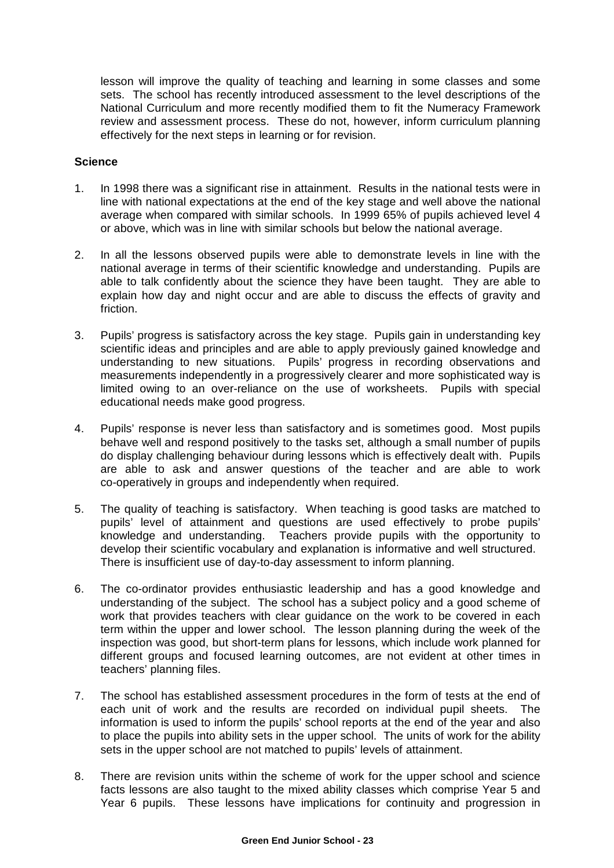lesson will improve the quality of teaching and learning in some classes and some sets. The school has recently introduced assessment to the level descriptions of the National Curriculum and more recently modified them to fit the Numeracy Framework review and assessment process. These do not, however, inform curriculum planning effectively for the next steps in learning or for revision.

#### **Science**

- 1. In 1998 there was a significant rise in attainment. Results in the national tests were in line with national expectations at the end of the key stage and well above the national average when compared with similar schools. In 1999 65% of pupils achieved level 4 or above, which was in line with similar schools but below the national average.
- 2. In all the lessons observed pupils were able to demonstrate levels in line with the national average in terms of their scientific knowledge and understanding. Pupils are able to talk confidently about the science they have been taught. They are able to explain how day and night occur and are able to discuss the effects of gravity and friction.
- 3. Pupils' progress is satisfactory across the key stage. Pupils gain in understanding key scientific ideas and principles and are able to apply previously gained knowledge and understanding to new situations. Pupils' progress in recording observations and measurements independently in a progressively clearer and more sophisticated way is limited owing to an over-reliance on the use of worksheets. Pupils with special educational needs make good progress.
- 4. Pupils' response is never less than satisfactory and is sometimes good. Most pupils behave well and respond positively to the tasks set, although a small number of pupils do display challenging behaviour during lessons which is effectively dealt with. Pupils are able to ask and answer questions of the teacher and are able to work co-operatively in groups and independently when required.
- 5. The quality of teaching is satisfactory. When teaching is good tasks are matched to pupils' level of attainment and questions are used effectively to probe pupils' knowledge and understanding. Teachers provide pupils with the opportunity to develop their scientific vocabulary and explanation is informative and well structured. There is insufficient use of day-to-day assessment to inform planning.
- 6. The co-ordinator provides enthusiastic leadership and has a good knowledge and understanding of the subject. The school has a subject policy and a good scheme of work that provides teachers with clear guidance on the work to be covered in each term within the upper and lower school. The lesson planning during the week of the inspection was good, but short-term plans for lessons, which include work planned for different groups and focused learning outcomes, are not evident at other times in teachers' planning files.
- 7. The school has established assessment procedures in the form of tests at the end of each unit of work and the results are recorded on individual pupil sheets. The information is used to inform the pupils' school reports at the end of the year and also to place the pupils into ability sets in the upper school. The units of work for the ability sets in the upper school are not matched to pupils' levels of attainment.
- 8. There are revision units within the scheme of work for the upper school and science facts lessons are also taught to the mixed ability classes which comprise Year 5 and Year 6 pupils. These lessons have implications for continuity and progression in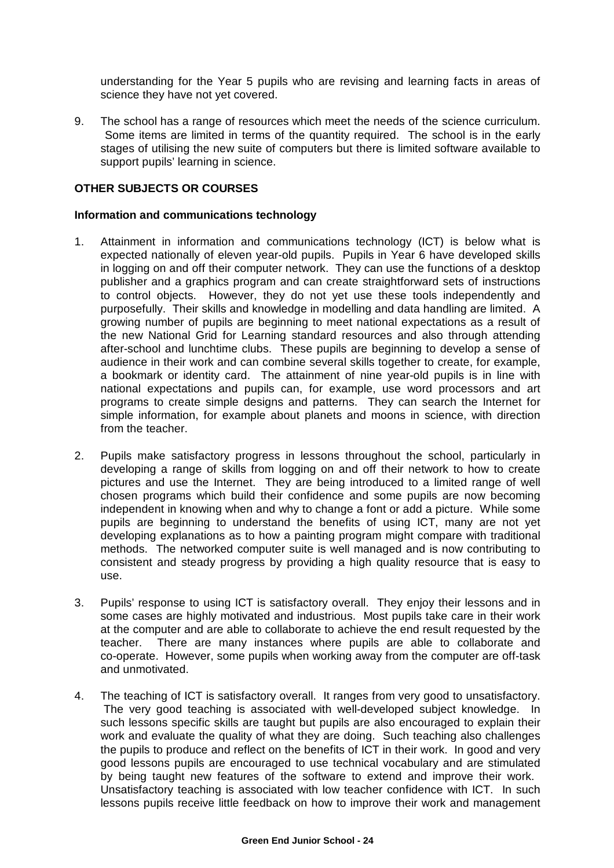understanding for the Year 5 pupils who are revising and learning facts in areas of science they have not yet covered.

9. The school has a range of resources which meet the needs of the science curriculum. Some items are limited in terms of the quantity required. The school is in the early stages of utilising the new suite of computers but there is limited software available to support pupils' learning in science.

#### **OTHER SUBJECTS OR COURSES**

#### **Information and communications technology**

- 1. Attainment in information and communications technology (ICT) is below what is expected nationally of eleven year-old pupils. Pupils in Year 6 have developed skills in logging on and off their computer network. They can use the functions of a desktop publisher and a graphics program and can create straightforward sets of instructions to control objects. However, they do not yet use these tools independently and purposefully. Their skills and knowledge in modelling and data handling are limited. A growing number of pupils are beginning to meet national expectations as a result of the new National Grid for Learning standard resources and also through attending after-school and lunchtime clubs. These pupils are beginning to develop a sense of audience in their work and can combine several skills together to create, for example, a bookmark or identity card. The attainment of nine year-old pupils is in line with national expectations and pupils can, for example, use word processors and art programs to create simple designs and patterns. They can search the Internet for simple information, for example about planets and moons in science, with direction from the teacher.
- 2. Pupils make satisfactory progress in lessons throughout the school, particularly in developing a range of skills from logging on and off their network to how to create pictures and use the Internet. They are being introduced to a limited range of well chosen programs which build their confidence and some pupils are now becoming independent in knowing when and why to change a font or add a picture. While some pupils are beginning to understand the benefits of using ICT, many are not yet developing explanations as to how a painting program might compare with traditional methods. The networked computer suite is well managed and is now contributing to consistent and steady progress by providing a high quality resource that is easy to use.
- 3. Pupils' response to using ICT is satisfactory overall. They enjoy their lessons and in some cases are highly motivated and industrious. Most pupils take care in their work at the computer and are able to collaborate to achieve the end result requested by the teacher. There are many instances where pupils are able to collaborate and co-operate. However, some pupils when working away from the computer are off-task and unmotivated.
- 4. The teaching of ICT is satisfactory overall. It ranges from very good to unsatisfactory. The very good teaching is associated with well-developed subject knowledge. In such lessons specific skills are taught but pupils are also encouraged to explain their work and evaluate the quality of what they are doing. Such teaching also challenges the pupils to produce and reflect on the benefits of ICT in their work. In good and very good lessons pupils are encouraged to use technical vocabulary and are stimulated by being taught new features of the software to extend and improve their work. Unsatisfactory teaching is associated with low teacher confidence with ICT. In such lessons pupils receive little feedback on how to improve their work and management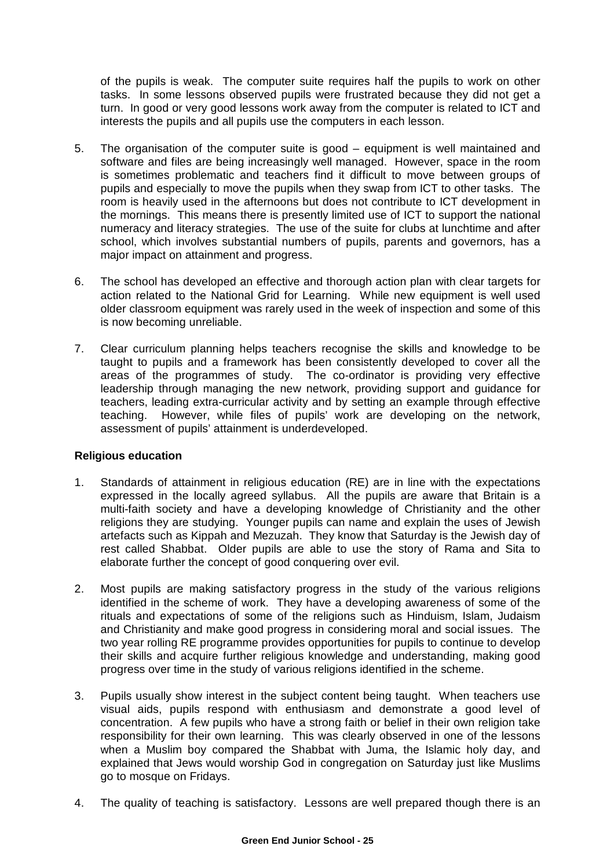of the pupils is weak. The computer suite requires half the pupils to work on other tasks. In some lessons observed pupils were frustrated because they did not get a turn. In good or very good lessons work away from the computer is related to ICT and interests the pupils and all pupils use the computers in each lesson.

- 5. The organisation of the computer suite is good equipment is well maintained and software and files are being increasingly well managed. However, space in the room is sometimes problematic and teachers find it difficult to move between groups of pupils and especially to move the pupils when they swap from ICT to other tasks. The room is heavily used in the afternoons but does not contribute to ICT development in the mornings. This means there is presently limited use of ICT to support the national numeracy and literacy strategies. The use of the suite for clubs at lunchtime and after school, which involves substantial numbers of pupils, parents and governors, has a major impact on attainment and progress.
- 6. The school has developed an effective and thorough action plan with clear targets for action related to the National Grid for Learning. While new equipment is well used older classroom equipment was rarely used in the week of inspection and some of this is now becoming unreliable.
- 7. Clear curriculum planning helps teachers recognise the skills and knowledge to be taught to pupils and a framework has been consistently developed to cover all the areas of the programmes of study. The co-ordinator is providing very effective leadership through managing the new network, providing support and guidance for teachers, leading extra-curricular activity and by setting an example through effective teaching. However, while files of pupils' work are developing on the network, assessment of pupils' attainment is underdeveloped.

## **Religious education**

- 1. Standards of attainment in religious education (RE) are in line with the expectations expressed in the locally agreed syllabus. All the pupils are aware that Britain is a multi-faith society and have a developing knowledge of Christianity and the other religions they are studying. Younger pupils can name and explain the uses of Jewish artefacts such as Kippah and Mezuzah. They know that Saturday is the Jewish day of rest called Shabbat. Older pupils are able to use the story of Rama and Sita to elaborate further the concept of good conquering over evil.
- 2. Most pupils are making satisfactory progress in the study of the various religions identified in the scheme of work. They have a developing awareness of some of the rituals and expectations of some of the religions such as Hinduism, Islam, Judaism and Christianity and make good progress in considering moral and social issues. The two year rolling RE programme provides opportunities for pupils to continue to develop their skills and acquire further religious knowledge and understanding, making good progress over time in the study of various religions identified in the scheme.
- 3. Pupils usually show interest in the subject content being taught. When teachers use visual aids, pupils respond with enthusiasm and demonstrate a good level of concentration. A few pupils who have a strong faith or belief in their own religion take responsibility for their own learning. This was clearly observed in one of the lessons when a Muslim boy compared the Shabbat with Juma, the Islamic holy day, and explained that Jews would worship God in congregation on Saturday just like Muslims go to mosque on Fridays.
- 4. The quality of teaching is satisfactory. Lessons are well prepared though there is an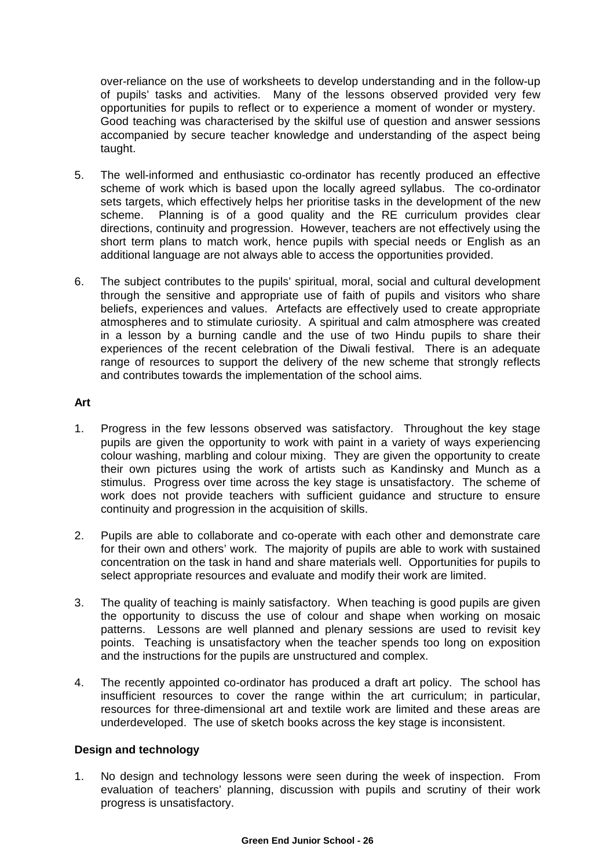over-reliance on the use of worksheets to develop understanding and in the follow-up of pupils' tasks and activities. Many of the lessons observed provided very few opportunities for pupils to reflect or to experience a moment of wonder or mystery. Good teaching was characterised by the skilful use of question and answer sessions accompanied by secure teacher knowledge and understanding of the aspect being taught.

- 5. The well-informed and enthusiastic co-ordinator has recently produced an effective scheme of work which is based upon the locally agreed syllabus. The co-ordinator sets targets, which effectively helps her prioritise tasks in the development of the new scheme. Planning is of a good quality and the RE curriculum provides clear directions, continuity and progression. However, teachers are not effectively using the short term plans to match work, hence pupils with special needs or English as an additional language are not always able to access the opportunities provided.
- 6. The subject contributes to the pupils' spiritual, moral, social and cultural development through the sensitive and appropriate use of faith of pupils and visitors who share beliefs, experiences and values. Artefacts are effectively used to create appropriate atmospheres and to stimulate curiosity. A spiritual and calm atmosphere was created in a lesson by a burning candle and the use of two Hindu pupils to share their experiences of the recent celebration of the Diwali festival. There is an adequate range of resources to support the delivery of the new scheme that strongly reflects and contributes towards the implementation of the school aims.

## **Art**

- 1. Progress in the few lessons observed was satisfactory. Throughout the key stage pupils are given the opportunity to work with paint in a variety of ways experiencing colour washing, marbling and colour mixing. They are given the opportunity to create their own pictures using the work of artists such as Kandinsky and Munch as a stimulus. Progress over time across the key stage is unsatisfactory. The scheme of work does not provide teachers with sufficient guidance and structure to ensure continuity and progression in the acquisition of skills.
- 2. Pupils are able to collaborate and co-operate with each other and demonstrate care for their own and others' work. The majority of pupils are able to work with sustained concentration on the task in hand and share materials well. Opportunities for pupils to select appropriate resources and evaluate and modify their work are limited.
- 3. The quality of teaching is mainly satisfactory. When teaching is good pupils are given the opportunity to discuss the use of colour and shape when working on mosaic patterns. Lessons are well planned and plenary sessions are used to revisit key points. Teaching is unsatisfactory when the teacher spends too long on exposition and the instructions for the pupils are unstructured and complex.
- 4. The recently appointed co-ordinator has produced a draft art policy. The school has insufficient resources to cover the range within the art curriculum; in particular, resources for three-dimensional art and textile work are limited and these areas are underdeveloped. The use of sketch books across the key stage is inconsistent.

## **Design and technology**

1. No design and technology lessons were seen during the week of inspection. From evaluation of teachers' planning, discussion with pupils and scrutiny of their work progress is unsatisfactory.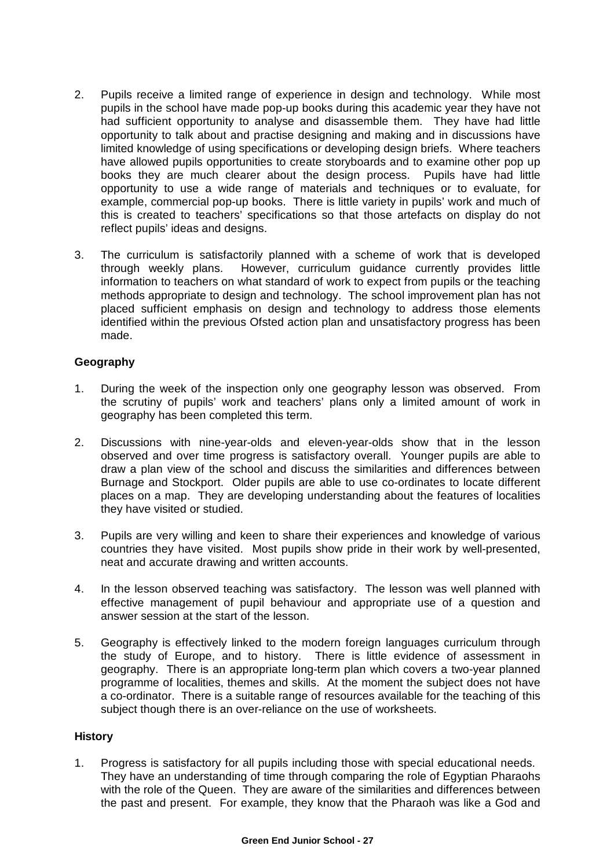- 2. Pupils receive a limited range of experience in design and technology. While most pupils in the school have made pop-up books during this academic year they have not had sufficient opportunity to analyse and disassemble them. They have had little opportunity to talk about and practise designing and making and in discussions have limited knowledge of using specifications or developing design briefs. Where teachers have allowed pupils opportunities to create storyboards and to examine other pop up books they are much clearer about the design process. Pupils have had little opportunity to use a wide range of materials and techniques or to evaluate, for example, commercial pop-up books. There is little variety in pupils' work and much of this is created to teachers' specifications so that those artefacts on display do not reflect pupils' ideas and designs.
- 3. The curriculum is satisfactorily planned with a scheme of work that is developed through weekly plans. However, curriculum guidance currently provides little information to teachers on what standard of work to expect from pupils or the teaching methods appropriate to design and technology. The school improvement plan has not placed sufficient emphasis on design and technology to address those elements identified within the previous Ofsted action plan and unsatisfactory progress has been made.

## **Geography**

- 1. During the week of the inspection only one geography lesson was observed. From the scrutiny of pupils' work and teachers' plans only a limited amount of work in geography has been completed this term.
- 2. Discussions with nine-year-olds and eleven-year-olds show that in the lesson observed and over time progress is satisfactory overall. Younger pupils are able to draw a plan view of the school and discuss the similarities and differences between Burnage and Stockport. Older pupils are able to use co-ordinates to locate different places on a map. They are developing understanding about the features of localities they have visited or studied.
- 3. Pupils are very willing and keen to share their experiences and knowledge of various countries they have visited. Most pupils show pride in their work by well-presented, neat and accurate drawing and written accounts.
- 4. In the lesson observed teaching was satisfactory. The lesson was well planned with effective management of pupil behaviour and appropriate use of a question and answer session at the start of the lesson.
- 5. Geography is effectively linked to the modern foreign languages curriculum through the study of Europe, and to history. There is little evidence of assessment in geography. There is an appropriate long-term plan which covers a two-year planned programme of localities, themes and skills. At the moment the subject does not have a co-ordinator. There is a suitable range of resources available for the teaching of this subject though there is an over-reliance on the use of worksheets.

## **History**

1. Progress is satisfactory for all pupils including those with special educational needs. They have an understanding of time through comparing the role of Egyptian Pharaohs with the role of the Queen. They are aware of the similarities and differences between the past and present. For example, they know that the Pharaoh was like a God and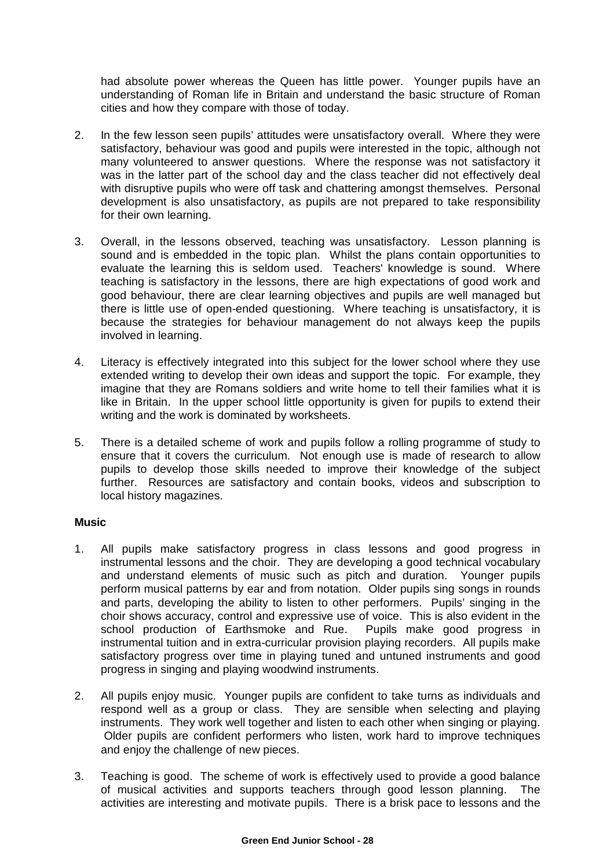had absolute power whereas the Queen has little power. Younger pupils have an understanding of Roman life in Britain and understand the basic structure of Roman cities and how they compare with those of today.

- 2. In the few lesson seen pupils' attitudes were unsatisfactory overall. Where they were satisfactory, behaviour was good and pupils were interested in the topic, although not many volunteered to answer questions. Where the response was not satisfactory it was in the latter part of the school day and the class teacher did not effectively deal with disruptive pupils who were off task and chattering amongst themselves. Personal development is also unsatisfactory, as pupils are not prepared to take responsibility for their own learning.
- 3. Overall, in the lessons observed, teaching was unsatisfactory. Lesson planning is sound and is embedded in the topic plan. Whilst the plans contain opportunities to evaluate the learning this is seldom used. Teachers' knowledge is sound. Where teaching is satisfactory in the lessons, there are high expectations of good work and good behaviour, there are clear learning objectives and pupils are well managed but there is little use of open-ended questioning. Where teaching is unsatisfactory, it is because the strategies for behaviour management do not always keep the pupils involved in learning.
- 4. Literacy is effectively integrated into this subject for the lower school where they use extended writing to develop their own ideas and support the topic. For example, they imagine that they are Romans soldiers and write home to tell their families what it is like in Britain. In the upper school little opportunity is given for pupils to extend their writing and the work is dominated by worksheets.
- 5. There is a detailed scheme of work and pupils follow a rolling programme of study to ensure that it covers the curriculum. Not enough use is made of research to allow pupils to develop those skills needed to improve their knowledge of the subject further. Resources are satisfactory and contain books, videos and subscription to local history magazines.

## **Music**

- 1. All pupils make satisfactory progress in class lessons and good progress in instrumental lessons and the choir. They are developing a good technical vocabulary and understand elements of music such as pitch and duration. Younger pupils perform musical patterns by ear and from notation. Older pupils sing songs in rounds and parts, developing the ability to listen to other performers. Pupils' singing in the choir shows accuracy, control and expressive use of voice. This is also evident in the school production of Earthsmoke and Rue. Pupils make good progress in instrumental tuition and in extra-curricular provision playing recorders. All pupils make satisfactory progress over time in playing tuned and untuned instruments and good progress in singing and playing woodwind instruments.
- 2. All pupils enjoy music. Younger pupils are confident to take turns as individuals and respond well as a group or class. They are sensible when selecting and playing instruments. They work well together and listen to each other when singing or playing. Older pupils are confident performers who listen, work hard to improve techniques and enjoy the challenge of new pieces.
- 3. Teaching is good. The scheme of work is effectively used to provide a good balance of musical activities and supports teachers through good lesson planning. The activities are interesting and motivate pupils. There is a brisk pace to lessons and the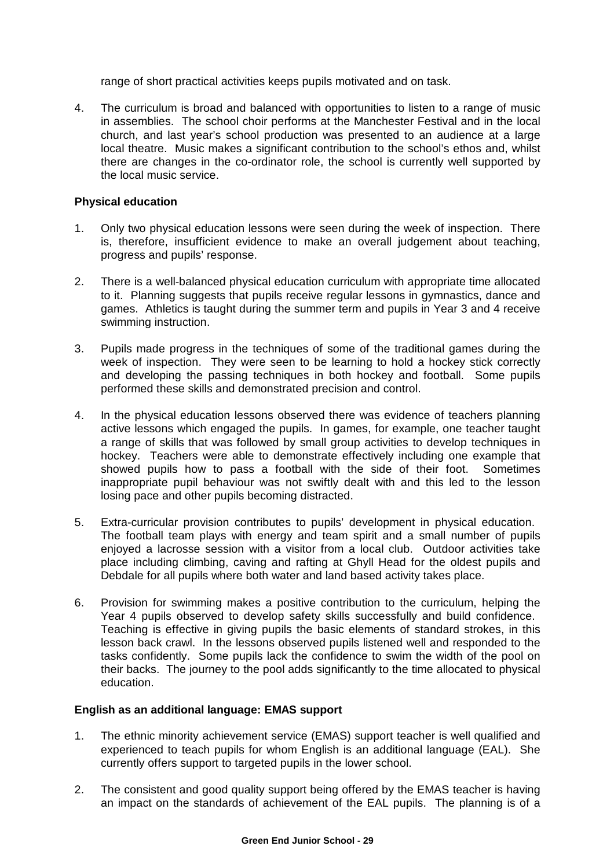range of short practical activities keeps pupils motivated and on task.

4. The curriculum is broad and balanced with opportunities to listen to a range of music in assemblies. The school choir performs at the Manchester Festival and in the local church, and last year's school production was presented to an audience at a large local theatre. Music makes a significant contribution to the school's ethos and, whilst there are changes in the co-ordinator role, the school is currently well supported by the local music service.

## **Physical education**

- 1. Only two physical education lessons were seen during the week of inspection. There is, therefore, insufficient evidence to make an overall judgement about teaching, progress and pupils' response.
- 2. There is a well-balanced physical education curriculum with appropriate time allocated to it. Planning suggests that pupils receive regular lessons in gymnastics, dance and games. Athletics is taught during the summer term and pupils in Year 3 and 4 receive swimming instruction.
- 3. Pupils made progress in the techniques of some of the traditional games during the week of inspection. They were seen to be learning to hold a hockey stick correctly and developing the passing techniques in both hockey and football. Some pupils performed these skills and demonstrated precision and control.
- 4. In the physical education lessons observed there was evidence of teachers planning active lessons which engaged the pupils. In games, for example, one teacher taught a range of skills that was followed by small group activities to develop techniques in hockey. Teachers were able to demonstrate effectively including one example that showed pupils how to pass a football with the side of their foot. Sometimes inappropriate pupil behaviour was not swiftly dealt with and this led to the lesson losing pace and other pupils becoming distracted.
- 5. Extra-curricular provision contributes to pupils' development in physical education. The football team plays with energy and team spirit and a small number of pupils enjoyed a lacrosse session with a visitor from a local club. Outdoor activities take place including climbing, caving and rafting at Ghyll Head for the oldest pupils and Debdale for all pupils where both water and land based activity takes place.
- 6. Provision for swimming makes a positive contribution to the curriculum, helping the Year 4 pupils observed to develop safety skills successfully and build confidence. Teaching is effective in giving pupils the basic elements of standard strokes, in this lesson back crawl. In the lessons observed pupils listened well and responded to the tasks confidently. Some pupils lack the confidence to swim the width of the pool on their backs. The journey to the pool adds significantly to the time allocated to physical education.

## **English as an additional language: EMAS support**

- 1. The ethnic minority achievement service (EMAS) support teacher is well qualified and experienced to teach pupils for whom English is an additional language (EAL). She currently offers support to targeted pupils in the lower school.
- 2. The consistent and good quality support being offered by the EMAS teacher is having an impact on the standards of achievement of the EAL pupils. The planning is of a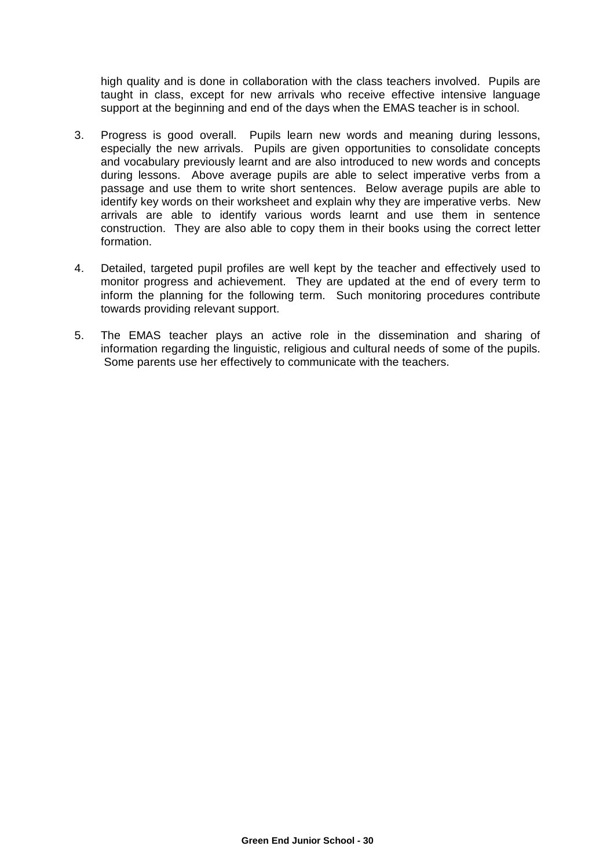high quality and is done in collaboration with the class teachers involved. Pupils are taught in class, except for new arrivals who receive effective intensive language support at the beginning and end of the days when the EMAS teacher is in school.

- 3. Progress is good overall. Pupils learn new words and meaning during lessons, especially the new arrivals. Pupils are given opportunities to consolidate concepts and vocabulary previously learnt and are also introduced to new words and concepts during lessons. Above average pupils are able to select imperative verbs from a passage and use them to write short sentences. Below average pupils are able to identify key words on their worksheet and explain why they are imperative verbs. New arrivals are able to identify various words learnt and use them in sentence construction. They are also able to copy them in their books using the correct letter formation.
- 4. Detailed, targeted pupil profiles are well kept by the teacher and effectively used to monitor progress and achievement. They are updated at the end of every term to inform the planning for the following term. Such monitoring procedures contribute towards providing relevant support.
- 5. The EMAS teacher plays an active role in the dissemination and sharing of information regarding the linguistic, religious and cultural needs of some of the pupils. Some parents use her effectively to communicate with the teachers.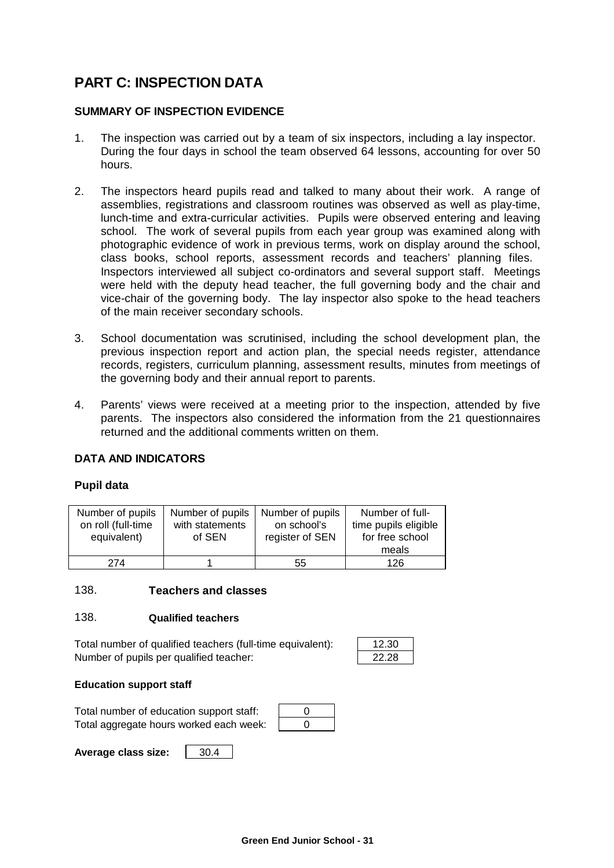# **PART C: INSPECTION DATA**

## **SUMMARY OF INSPECTION EVIDENCE**

- 1. The inspection was carried out by a team of six inspectors, including a lay inspector. During the four days in school the team observed 64 lessons, accounting for over 50 hours.
- 2. The inspectors heard pupils read and talked to many about their work. A range of assemblies, registrations and classroom routines was observed as well as play-time, lunch-time and extra-curricular activities. Pupils were observed entering and leaving school. The work of several pupils from each year group was examined along with photographic evidence of work in previous terms, work on display around the school, class books, school reports, assessment records and teachers' planning files. Inspectors interviewed all subject co-ordinators and several support staff. Meetings were held with the deputy head teacher, the full governing body and the chair and vice-chair of the governing body. The lay inspector also spoke to the head teachers of the main receiver secondary schools.
- 3. School documentation was scrutinised, including the school development plan, the previous inspection report and action plan, the special needs register, attendance records, registers, curriculum planning, assessment results, minutes from meetings of the governing body and their annual report to parents.
- 4. Parents' views were received at a meeting prior to the inspection, attended by five parents. The inspectors also considered the information from the 21 questionnaires returned and the additional comments written on them.

## **DATA AND INDICATORS**

## **Pupil data**

| Number of pupils<br>on roll (full-time<br>equivalent) | Number of pupils<br>with statements<br>of SEN | Number of pupils<br>on school's<br>register of SEN | Number of full-<br>time pupils eligible<br>for free school<br>meals |
|-------------------------------------------------------|-----------------------------------------------|----------------------------------------------------|---------------------------------------------------------------------|
| 274                                                   |                                               | 55                                                 | 126                                                                 |

## 138. **Teachers and classes**

#### 138. **Qualified teachers**

Total number of qualified teachers (full-time equivalent): Number of pupils per qualified teacher:

| クラ |  |
|----|--|
| г. |  |

## **Education support staff**

| Total number of education support staff: |  |
|------------------------------------------|--|
| Total aggregate hours worked each week:  |  |

**Average class size:** 30.4